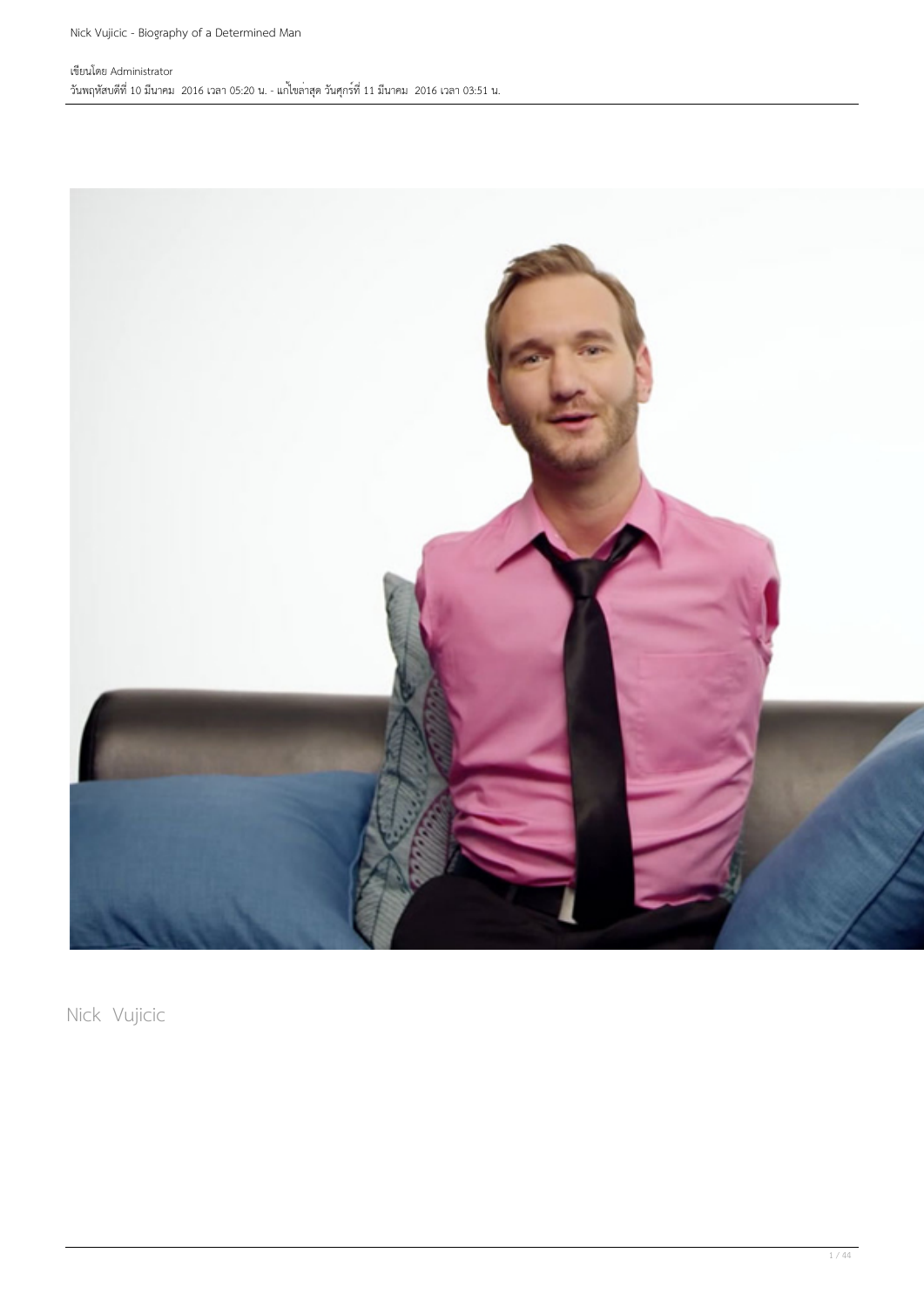

Nick Vujicic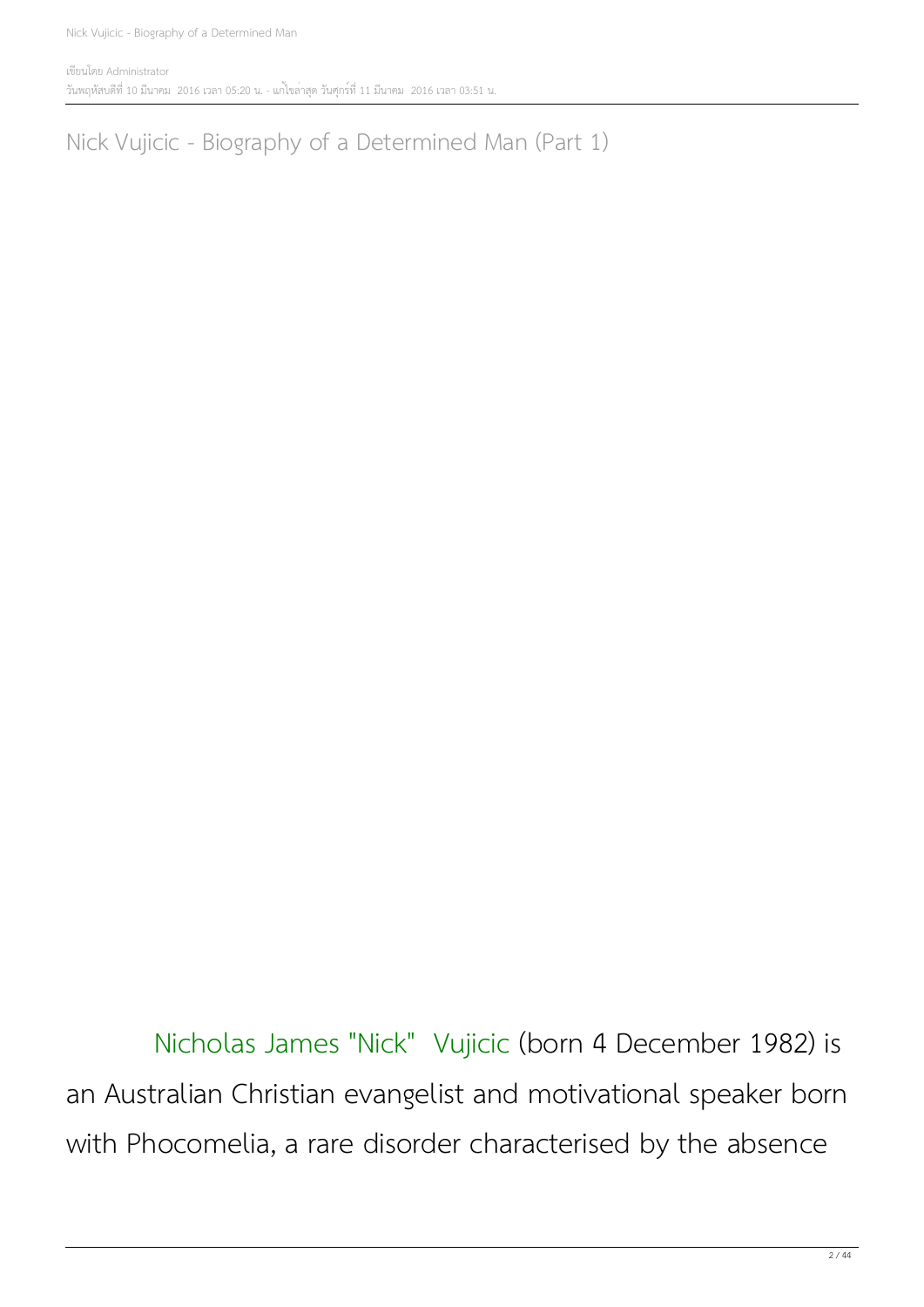เขียนโดย Administrator วันพฤหัสบดีที่ 10 มีนาคม 2016 เวลา 05:20 น. - แก้ไขล่าสุด วันศุกร์ที่ 11 มีนาคม 2016 เวลา 03:51 น.

Nick Vujicic - Biography of a Determined Man (Part 1)

 Nicholas James "Nick" Vujicic (born 4 December 1982) is an Australian Christian evangelist and motivational speaker born with Phocomelia, a rare disorder characterised by the absence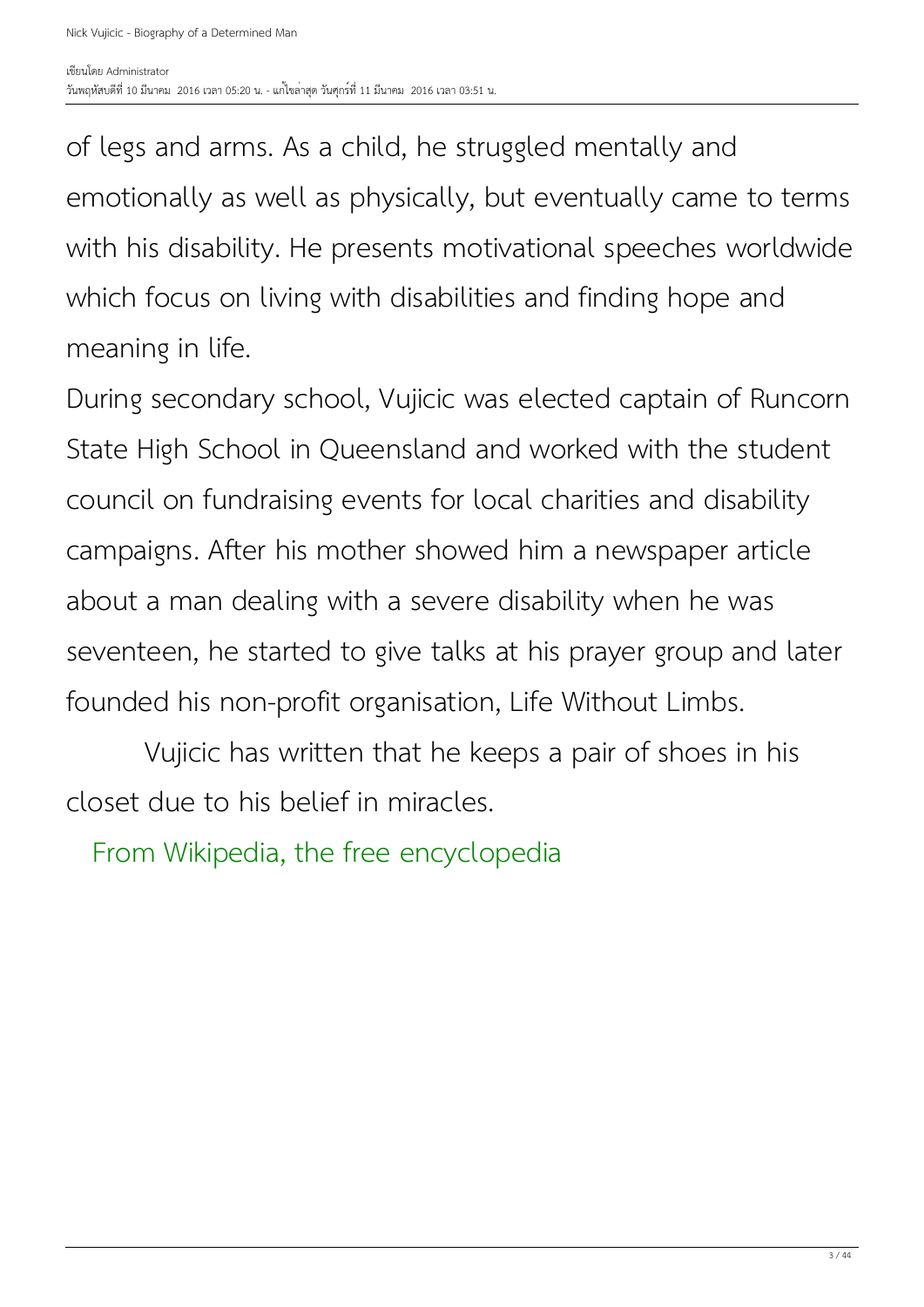of legs and arms. As a child, he struggled mentally and emotionally as well as physically, but eventually came to terms with his disability. He presents motivational speeches worldwide which focus on living with disabilities and finding hope and meaning in life.

During secondary school, Vujicic was elected captain of Runcorn State High School in Queensland and worked with the student council on fundraising events for local charities and disability campaigns. After his mother showed him a newspaper article about a man dealing with a severe disability when he was seventeen, he started to give talks at his prayer group and later founded his non-profit organisation, Life Without Limbs.

 Vujicic has written that he keeps a pair of shoes in his closet due to his belief in miracles.

From Wikipedia, the free encyclopedia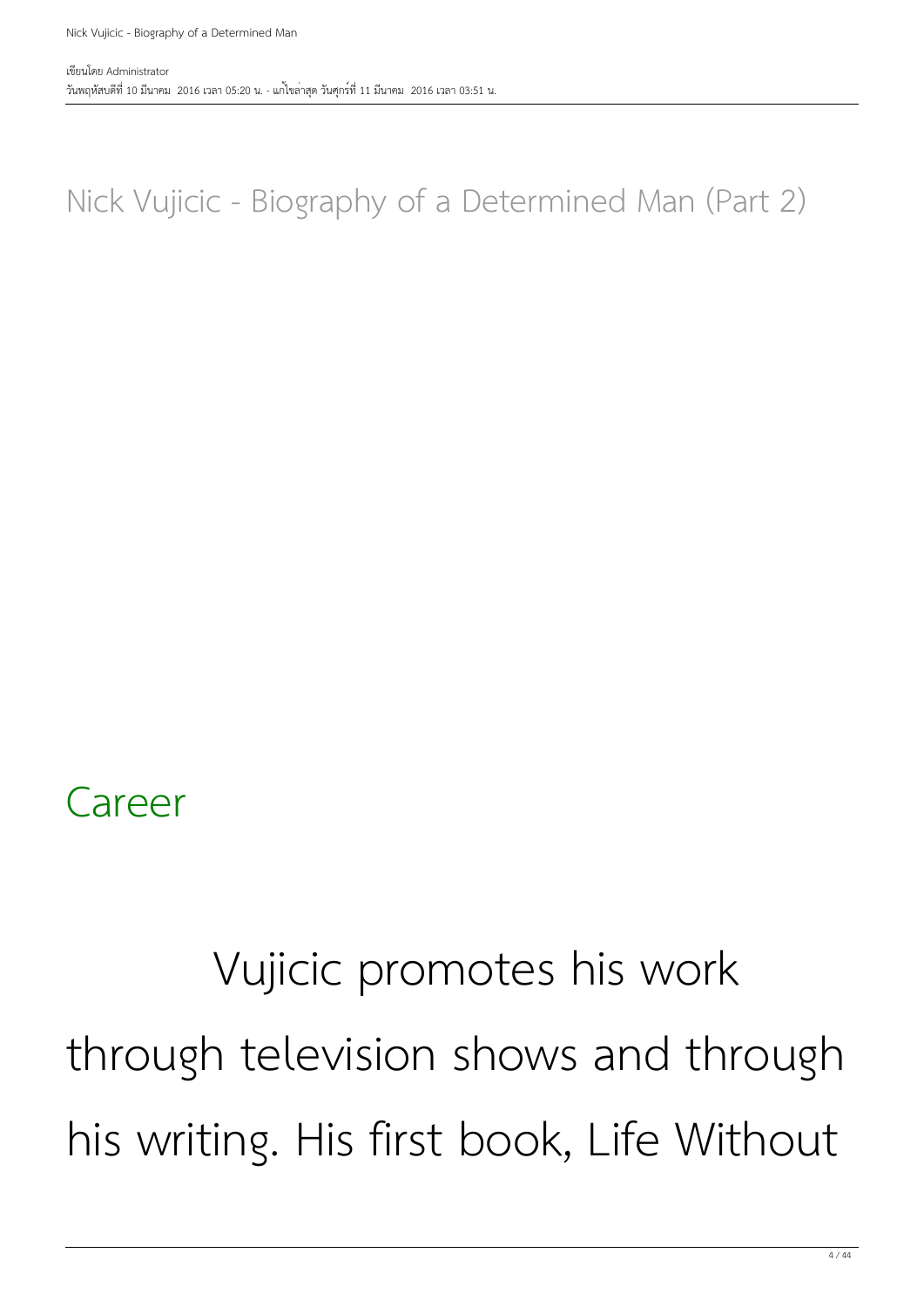#### Nick Vujicic - Biography of a Determined Man (Part 2)

#### Career

#### Vujicic promotes his work through television shows and through his writing. His first book, Life Without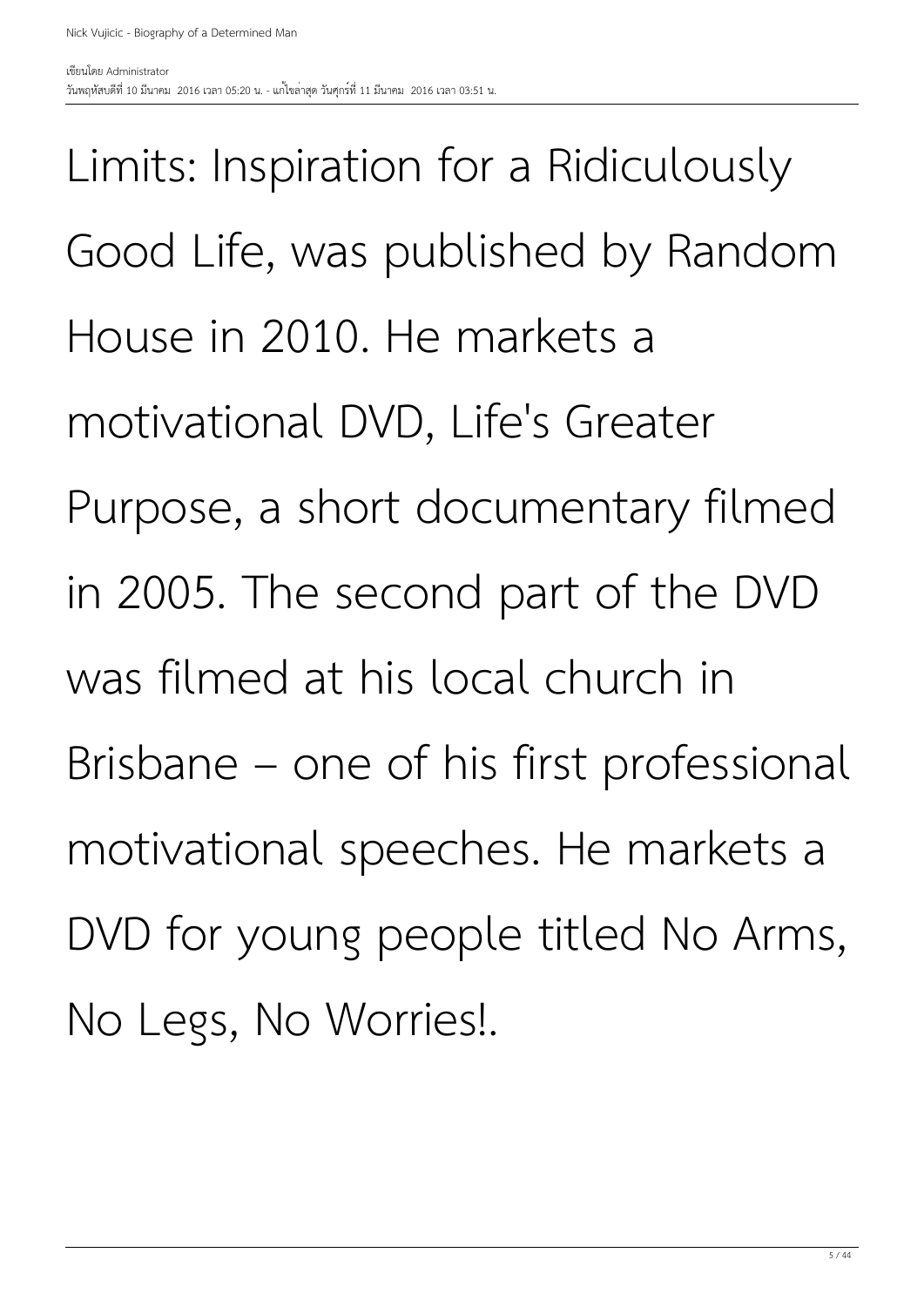Limits: Inspiration for a Ridiculously Good Life, was published by Random House in 2010. He markets a motivational DVD, Life's Greater Purpose, a short documentary filmed in 2005. The second part of the DVD was filmed at his local church in Brisbane – one of his first professional motivational speeches. He markets a DVD for young people titled No Arms, No Legs, No Worries!.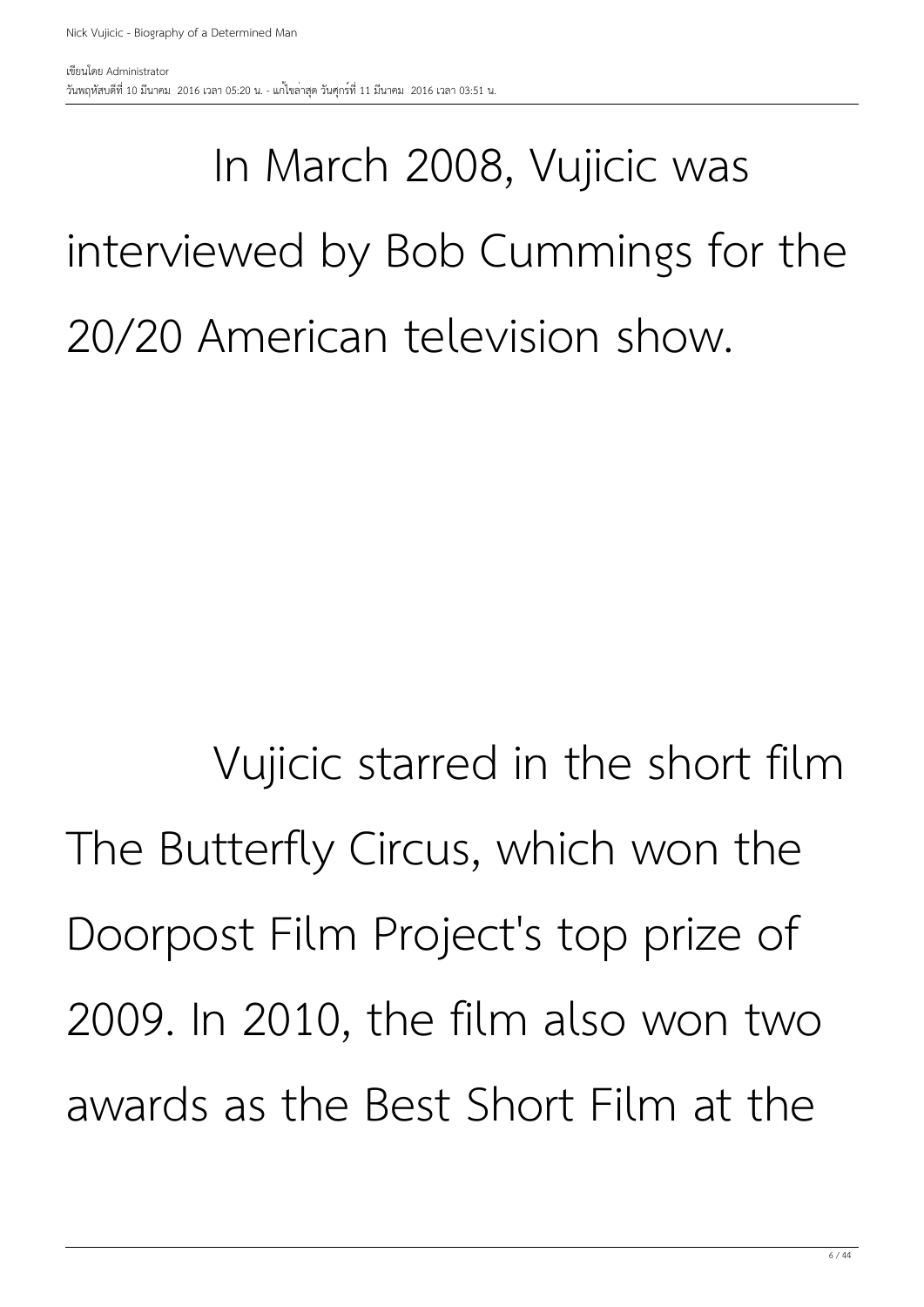#### In March 2008, Vujicic was interviewed by Bob Cummings for the 20/20 American television show.

 Vujicic starred in the short film The Butterfly Circus, which won the Doorpost Film Project's top prize of 2009. In 2010, the film also won two awards as the Best Short Film at the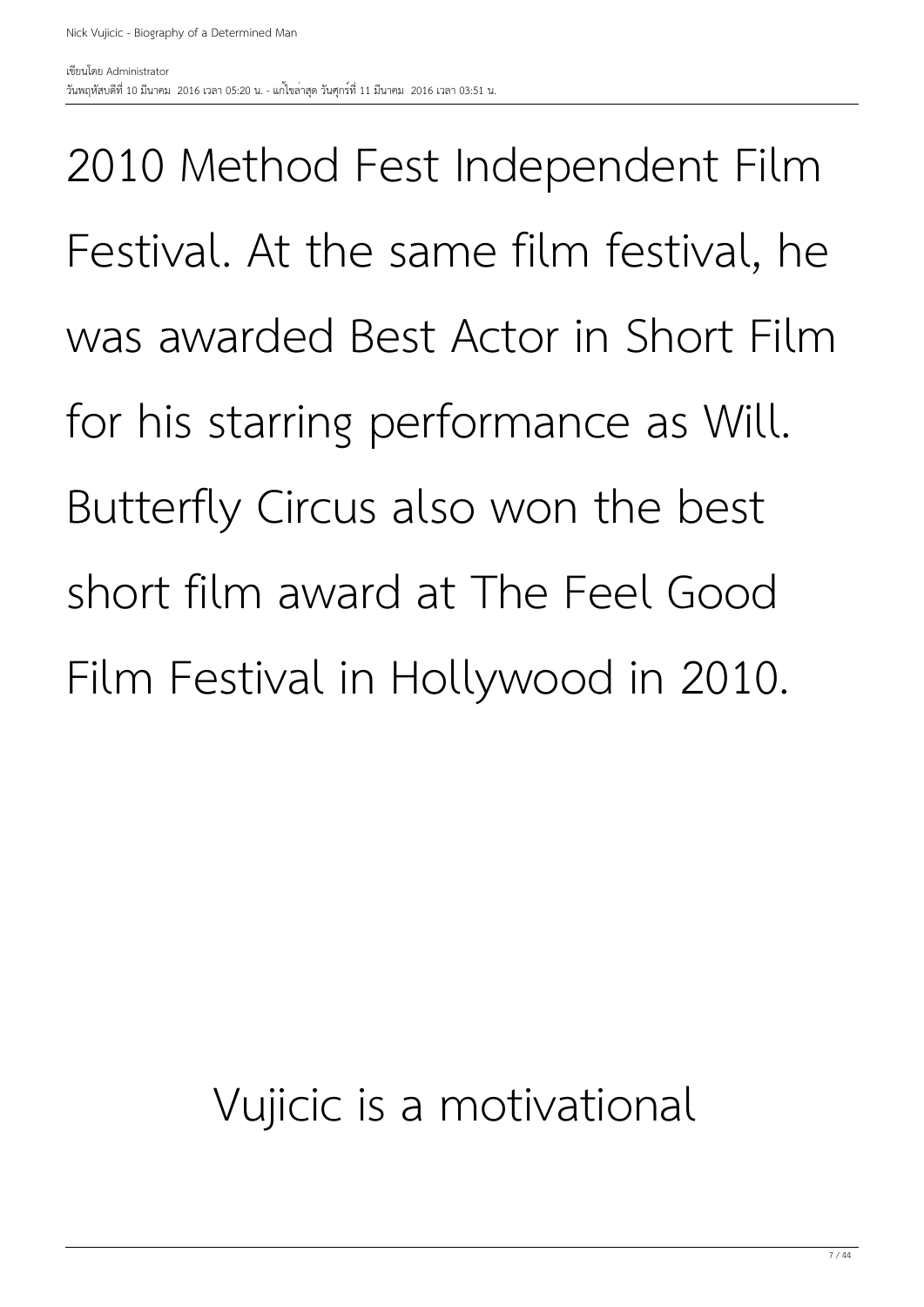2010 Method Fest Independent Film Festival. At the same film festival, he was awarded Best Actor in Short Film for his starring performance as Will. Butterfly Circus also won the best short film award at The Feel Good Film Festival in Hollywood in 2010.

#### Vujicic is a motivational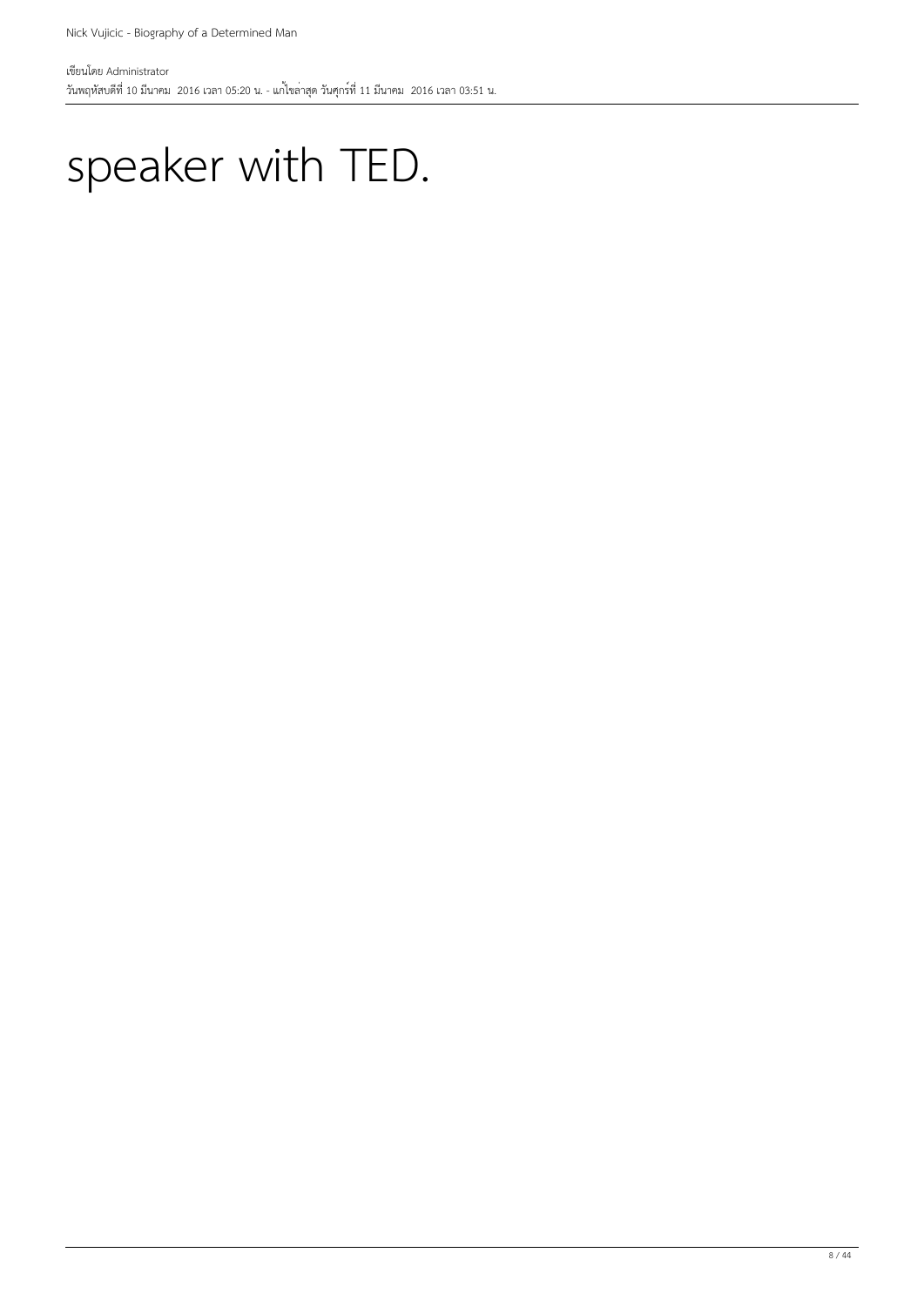#### speaker with TED.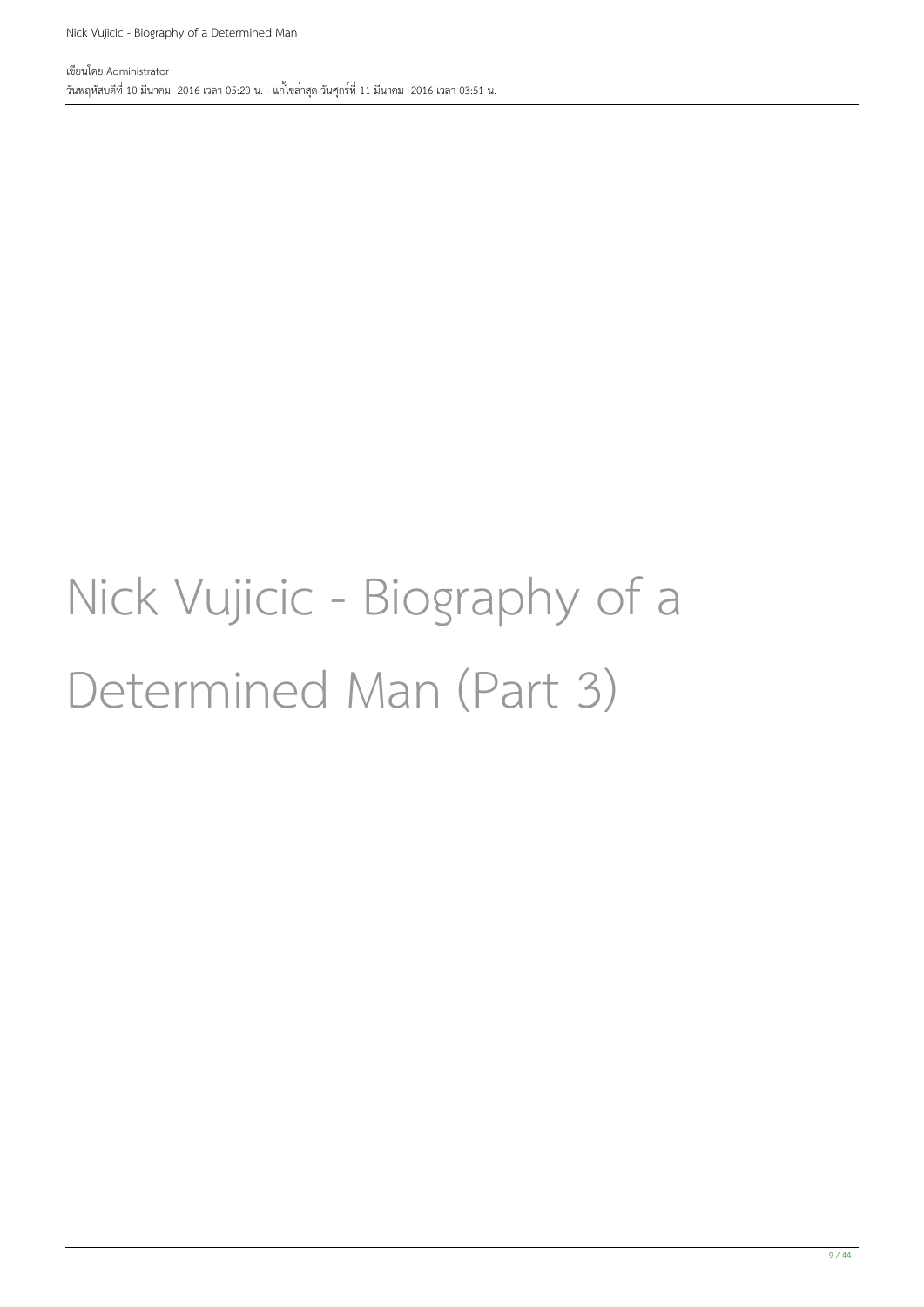#### Nick Vujicic - Biography of a Determined Man (Part 3)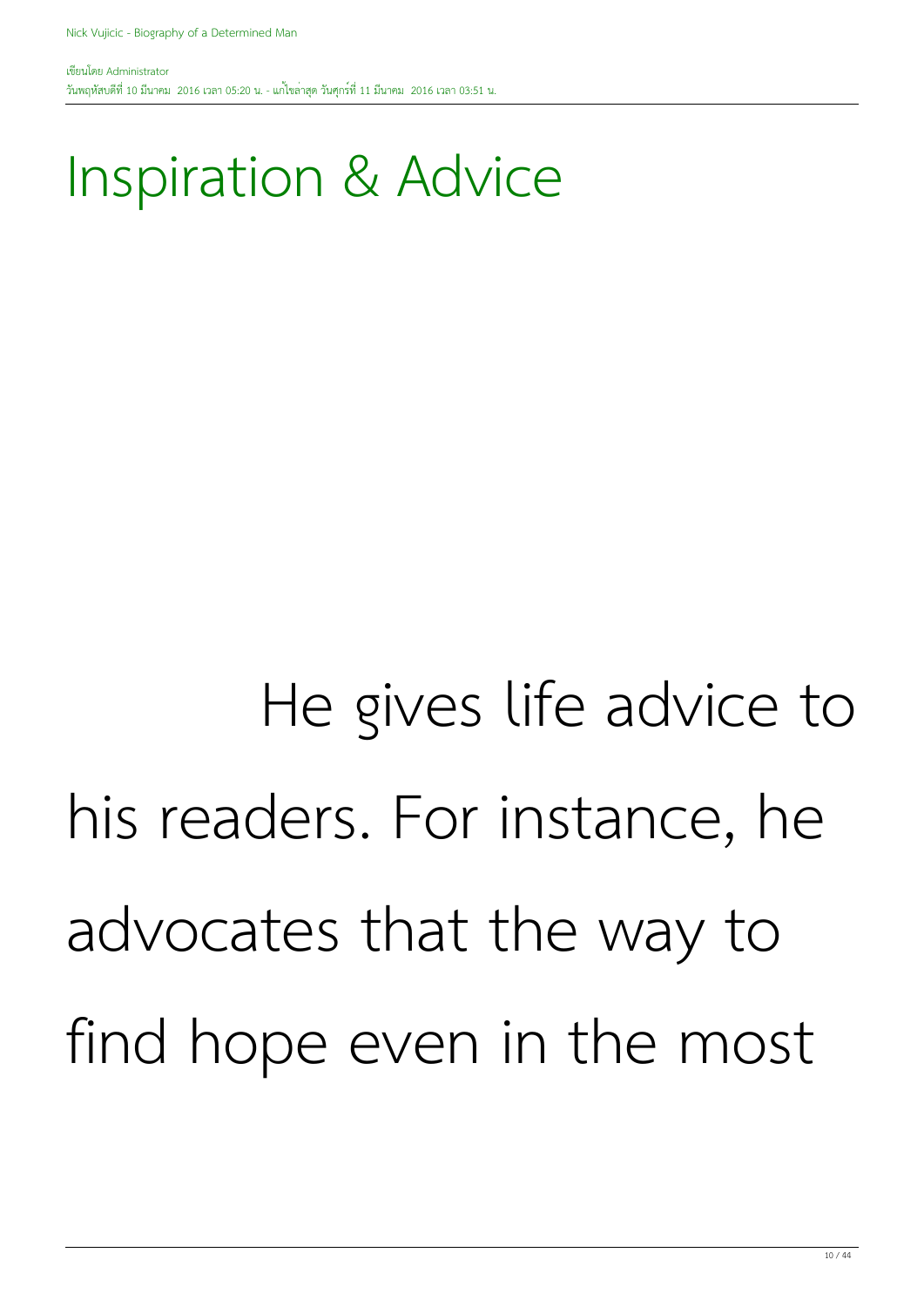#### Inspiration & Advice

#### He gives life advice to his readers. For instance, he advocates that the way to find hope even in the most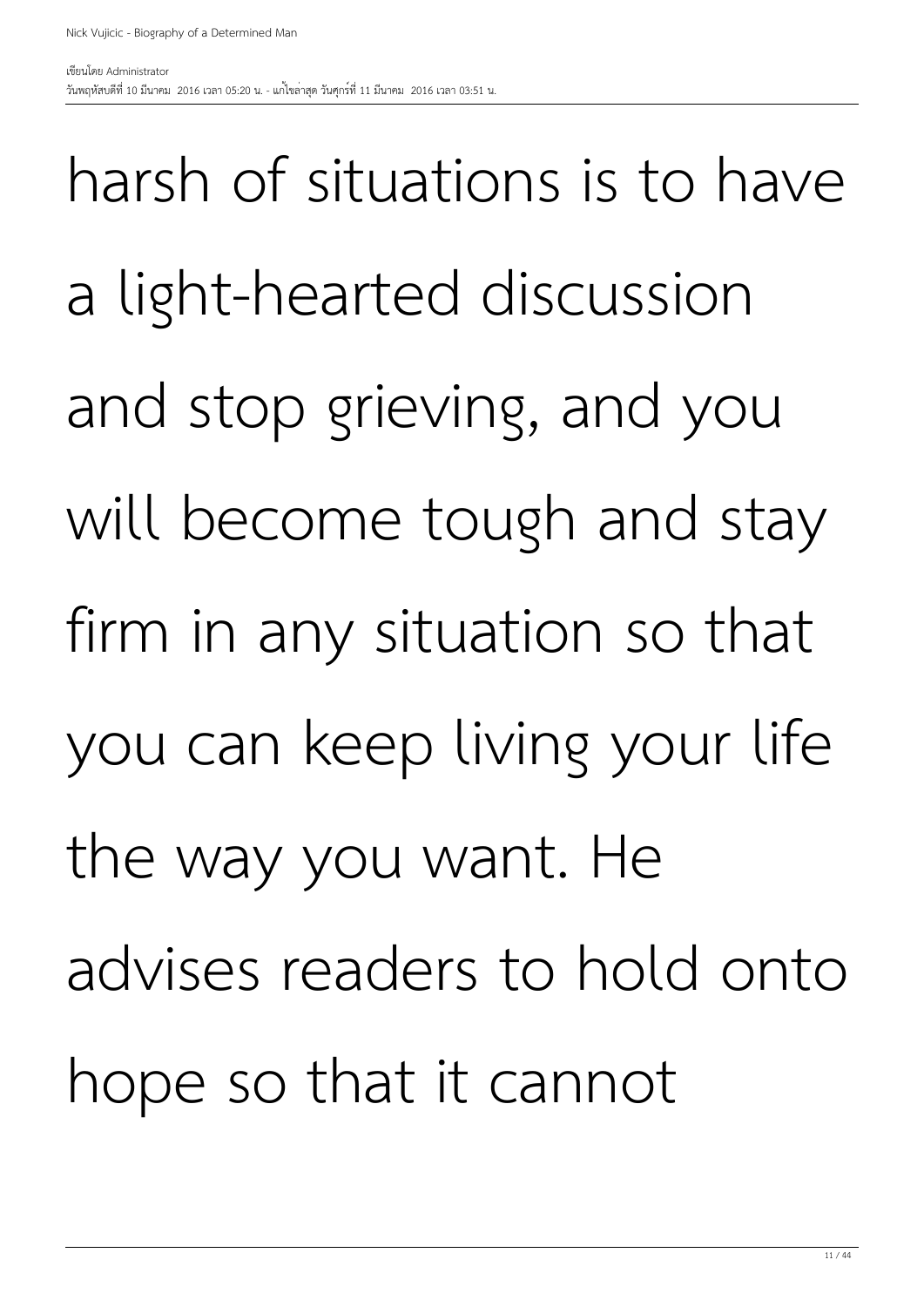harsh of situations is to have a light-hearted discussion and stop grieving, and you will become tough and stay firm in any situation so that you can keep living your life the way you want. He advises readers to hold onto hope so that it cannot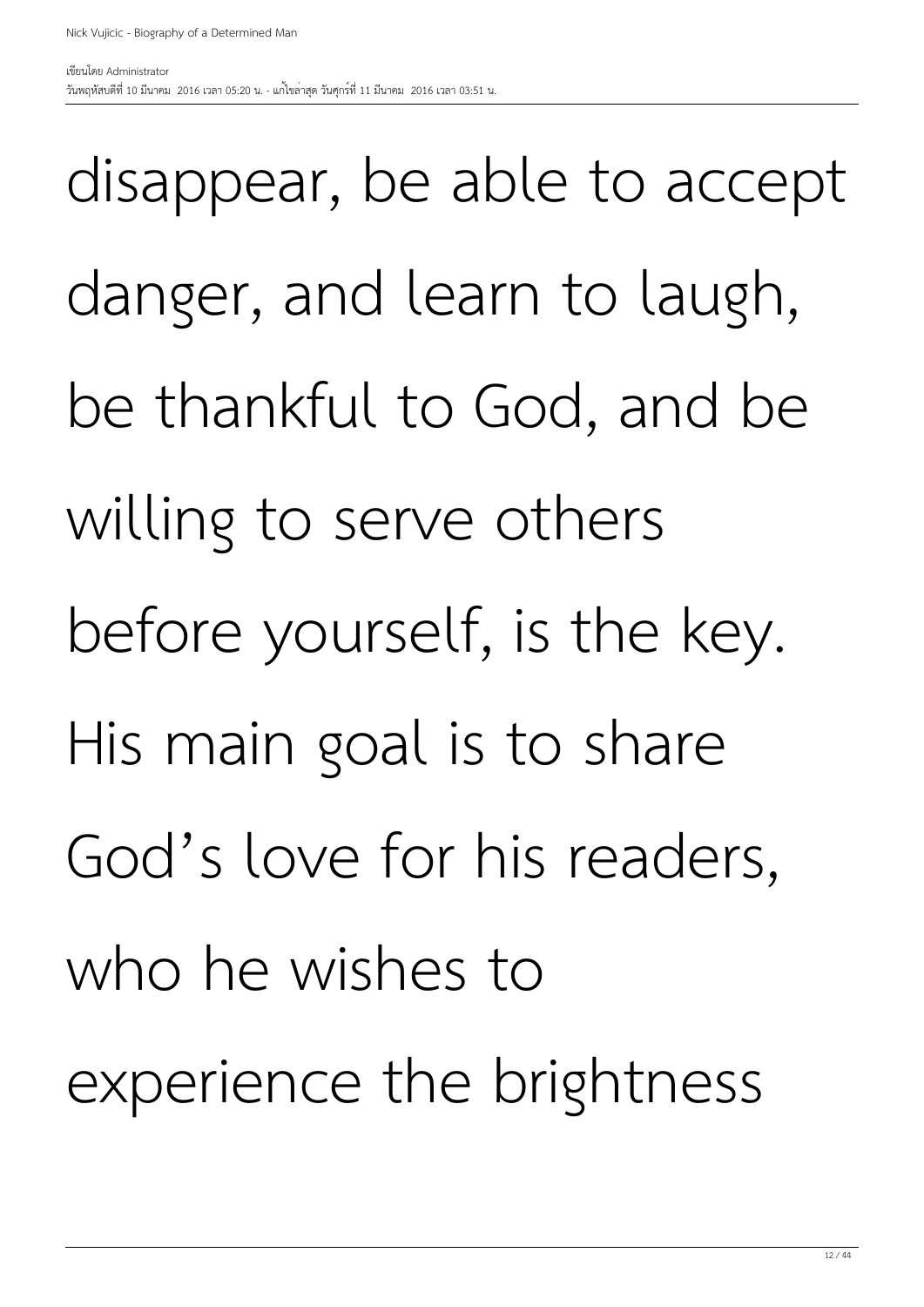disappear, be able to accept danger, and learn to laugh, be thankful to God, and be willing to serve others before yourself, is the key. His main goal is to share God's love for his readers, who he wishes to experience the brightness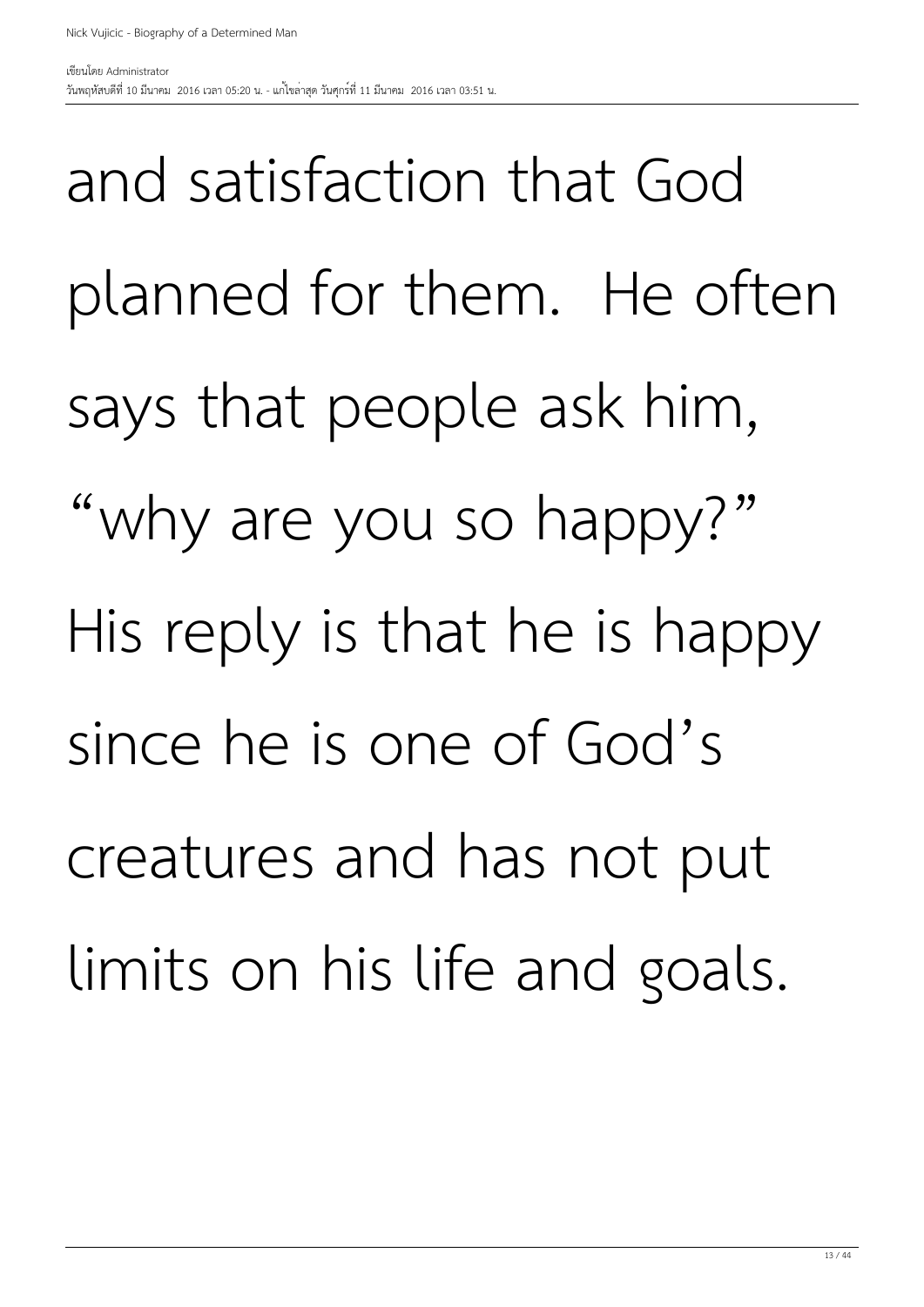and satisfaction that God planned for them. He often says that people ask him, "why are you so happy?" His reply is that he is happy since he is one of God's creatures and has not put limits on his life and goals.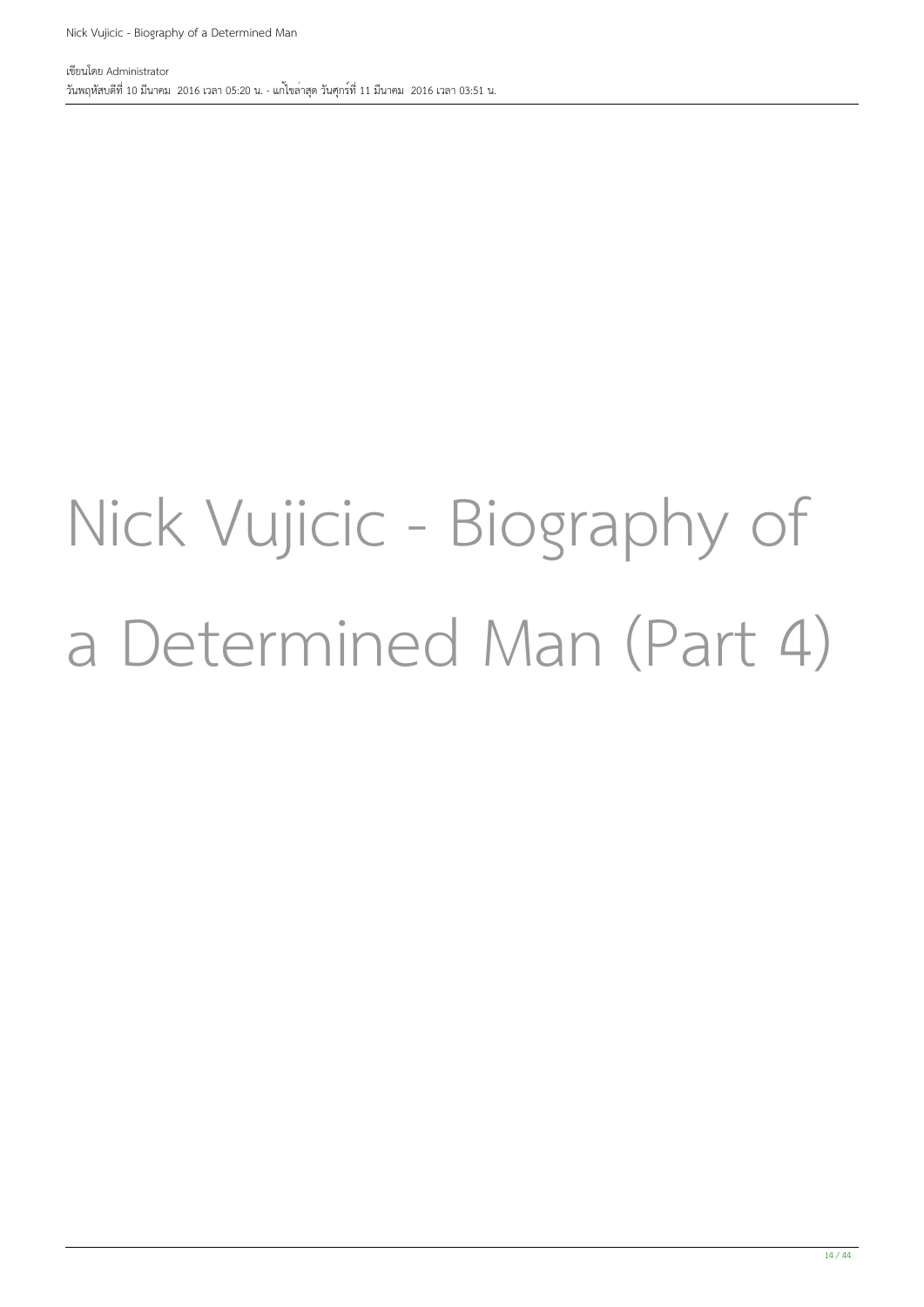#### Nick Vujicic - Biography of a Determined Man (Part 4)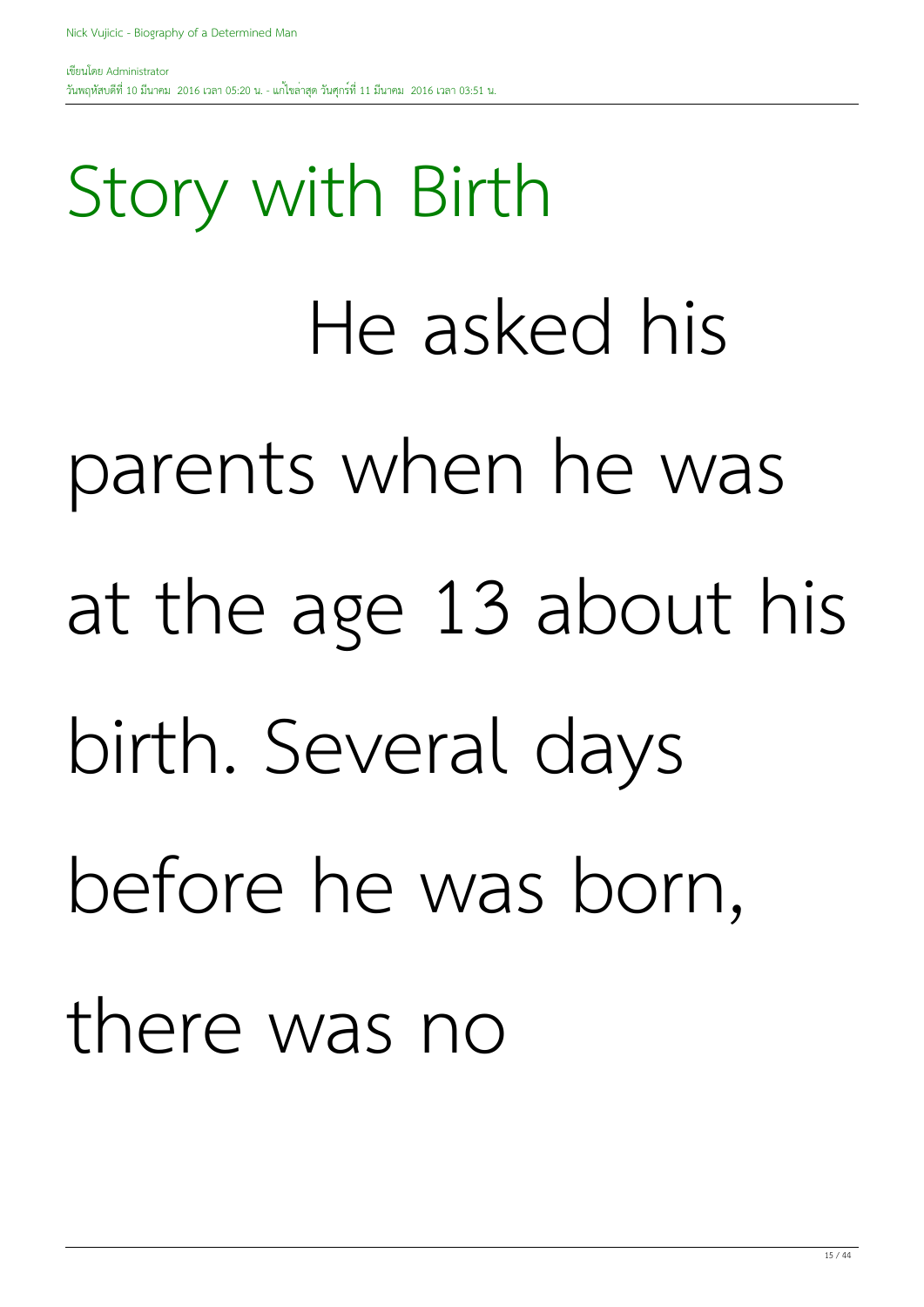Story with Birth He asked his parents when he was at the age 13 about his birth. Several days before he was born, there was no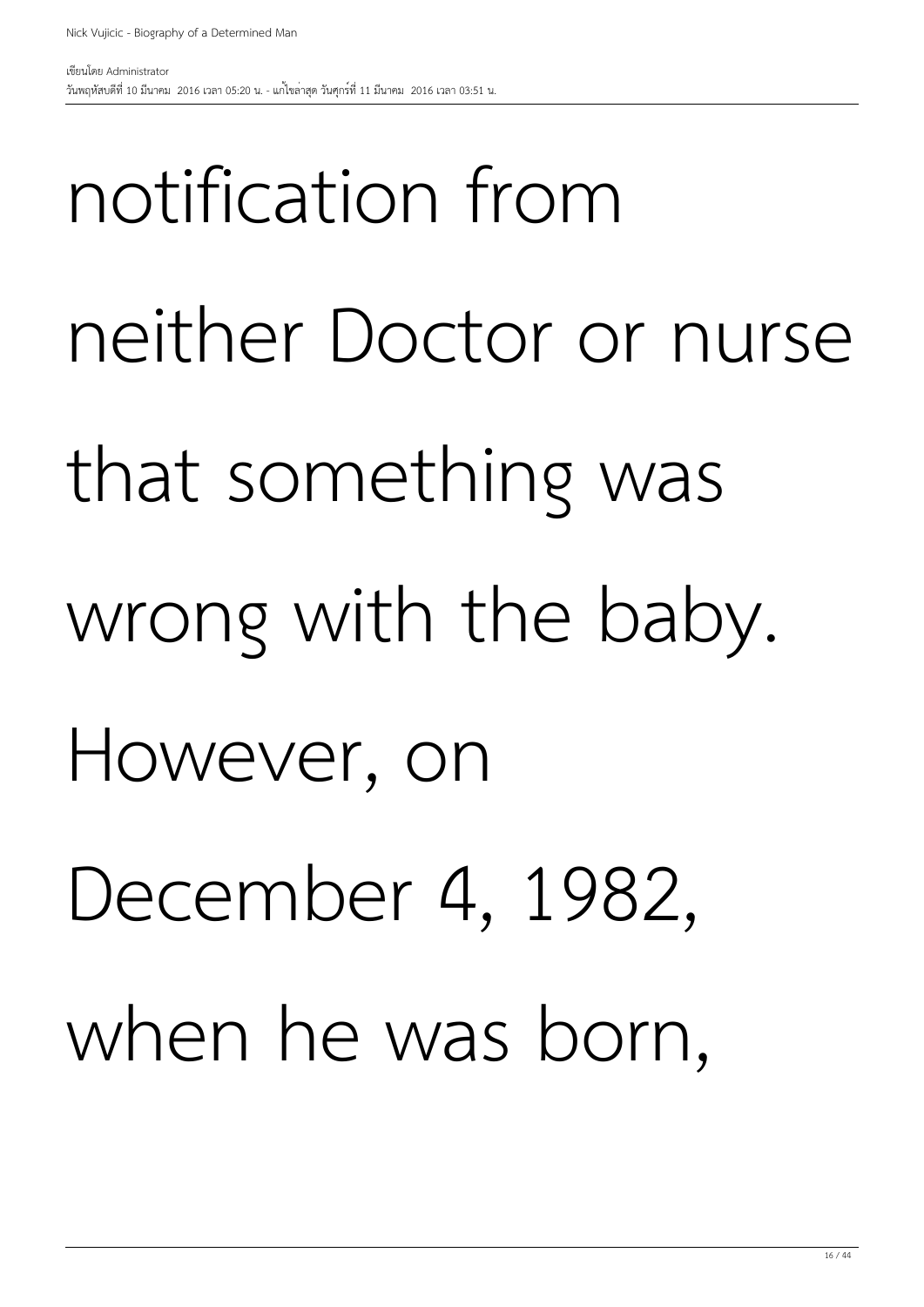### notification from neither Doctor or nurse that something was wrong with the baby. However, on December 4, 1982, when he was born,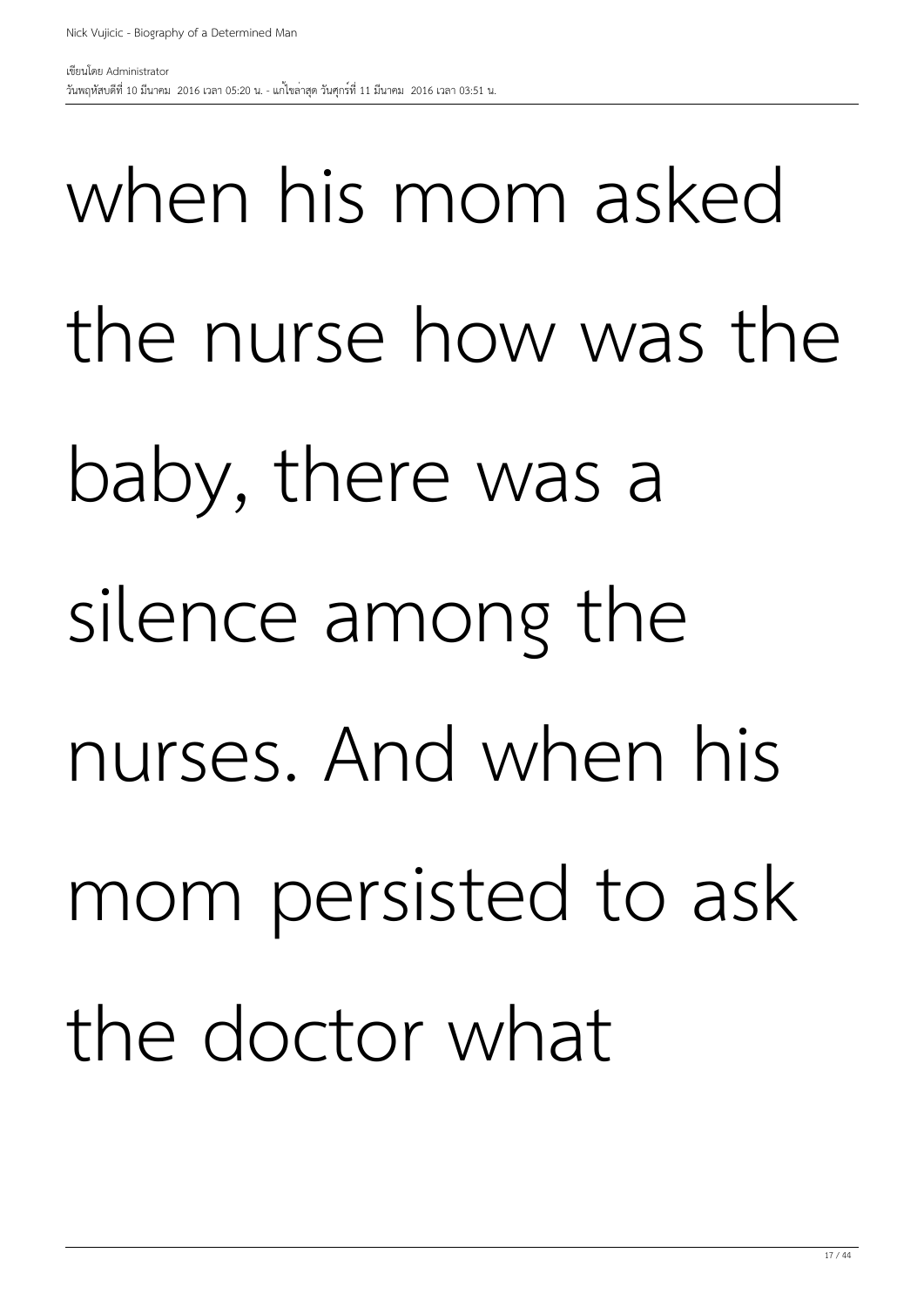when his mom asked the nurse how was the baby, there was a silence among the nurses. And when his mom persisted to ask the doctor what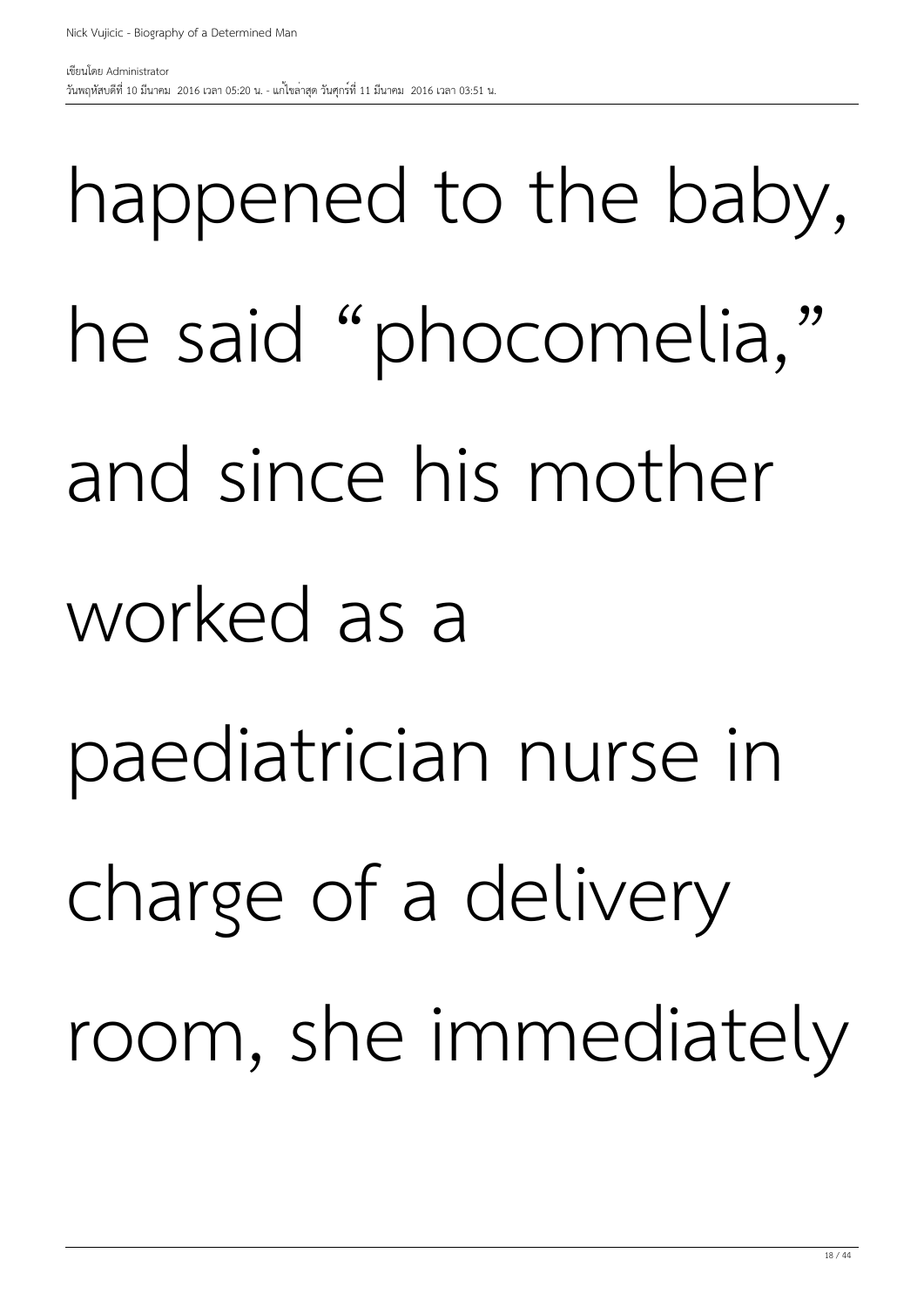### happened to the baby, he said "phocomelia," and since his mother worked as a paediatrician nurse in charge of a delivery room, she immediately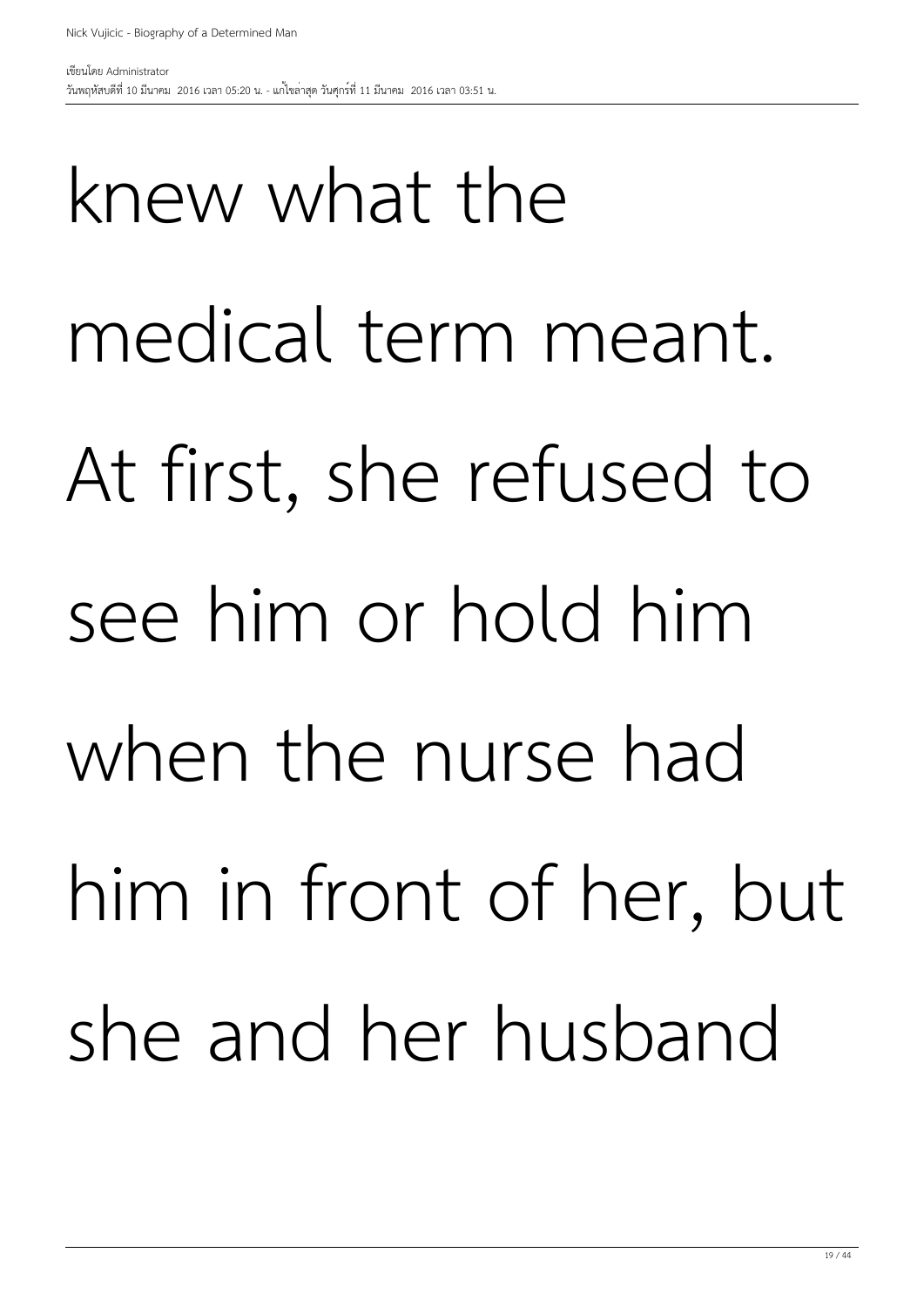knew what the medical term meant. At first, she refused to see him or hold him when the nurse had him in front of her, but she and her husband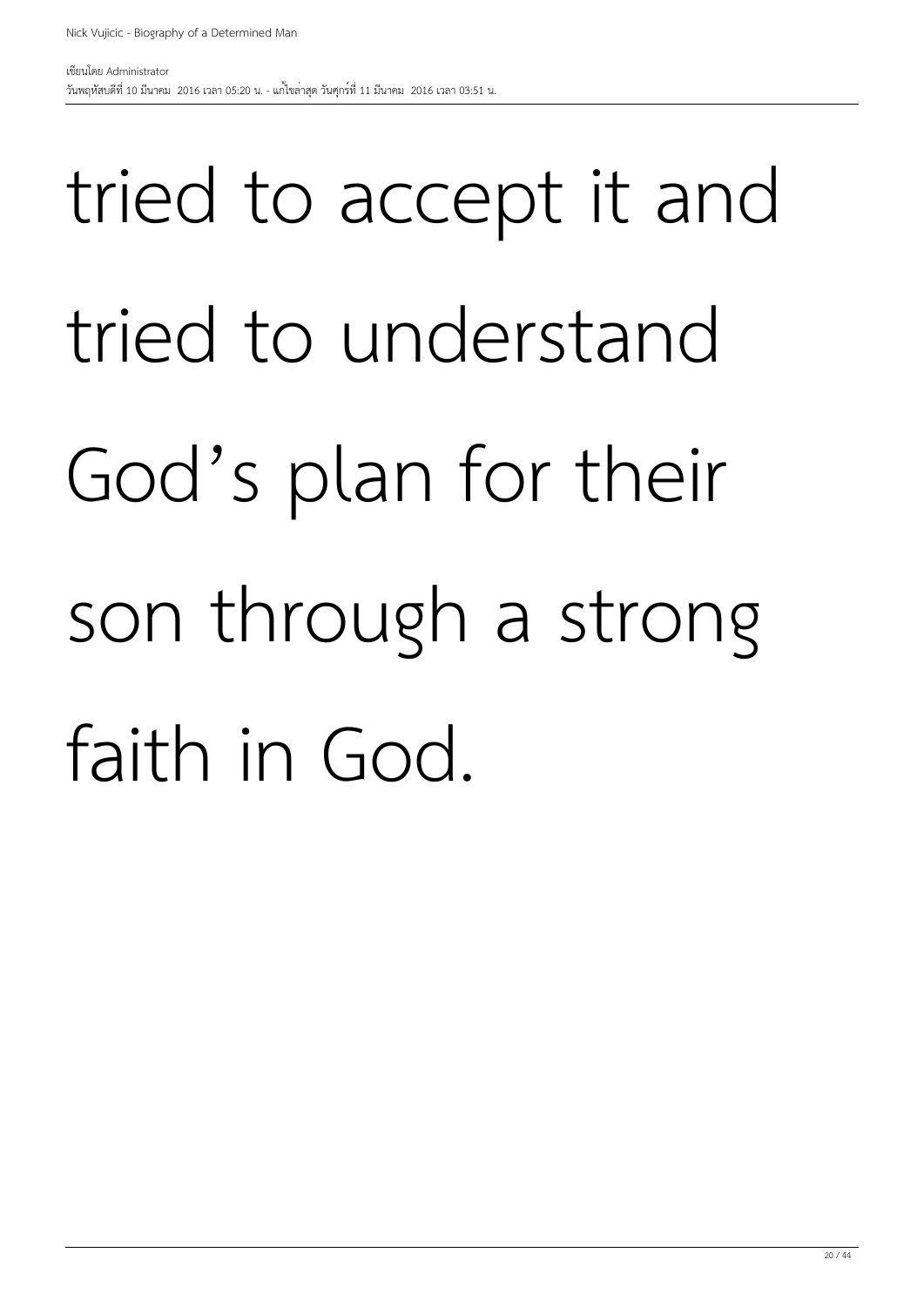#### tried to accept it and tried to understand God's plan for their son through a strong faith in God.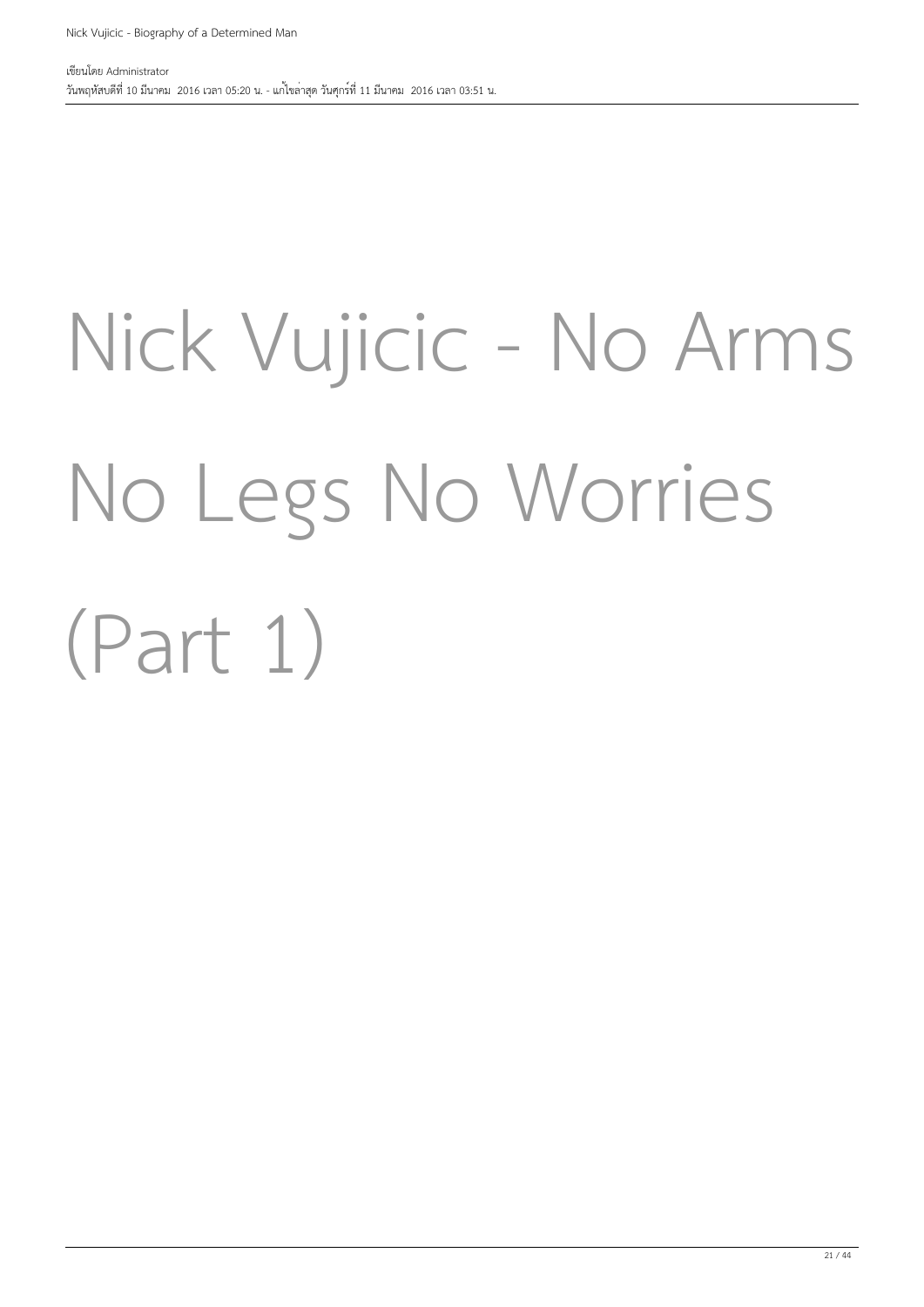### Nick Vujicic - No Arms No Legs No Worries (Part 1)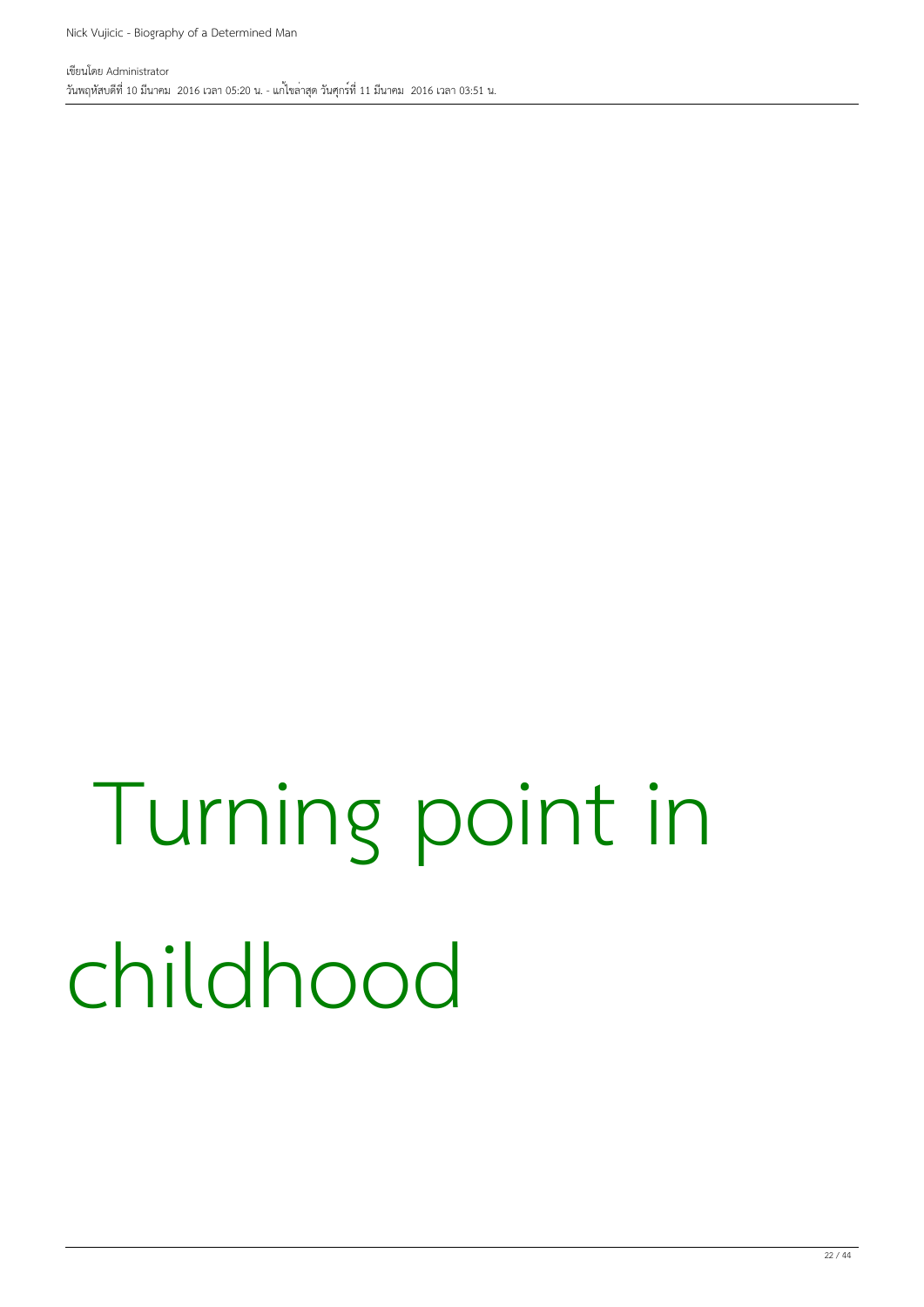#### Turning point in childhood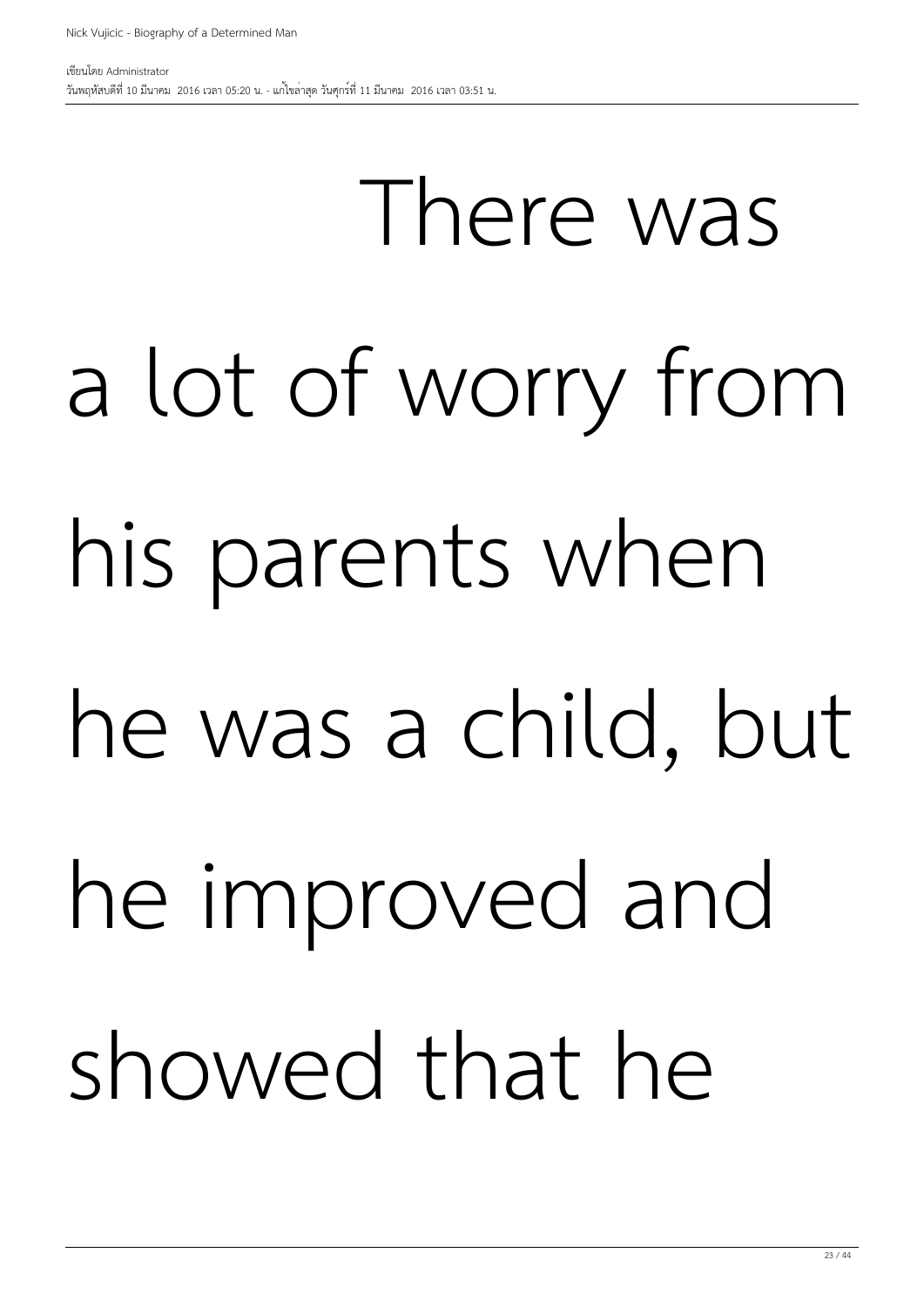## There was a lot of worry from his parents when he was a child, but he improved and showed that he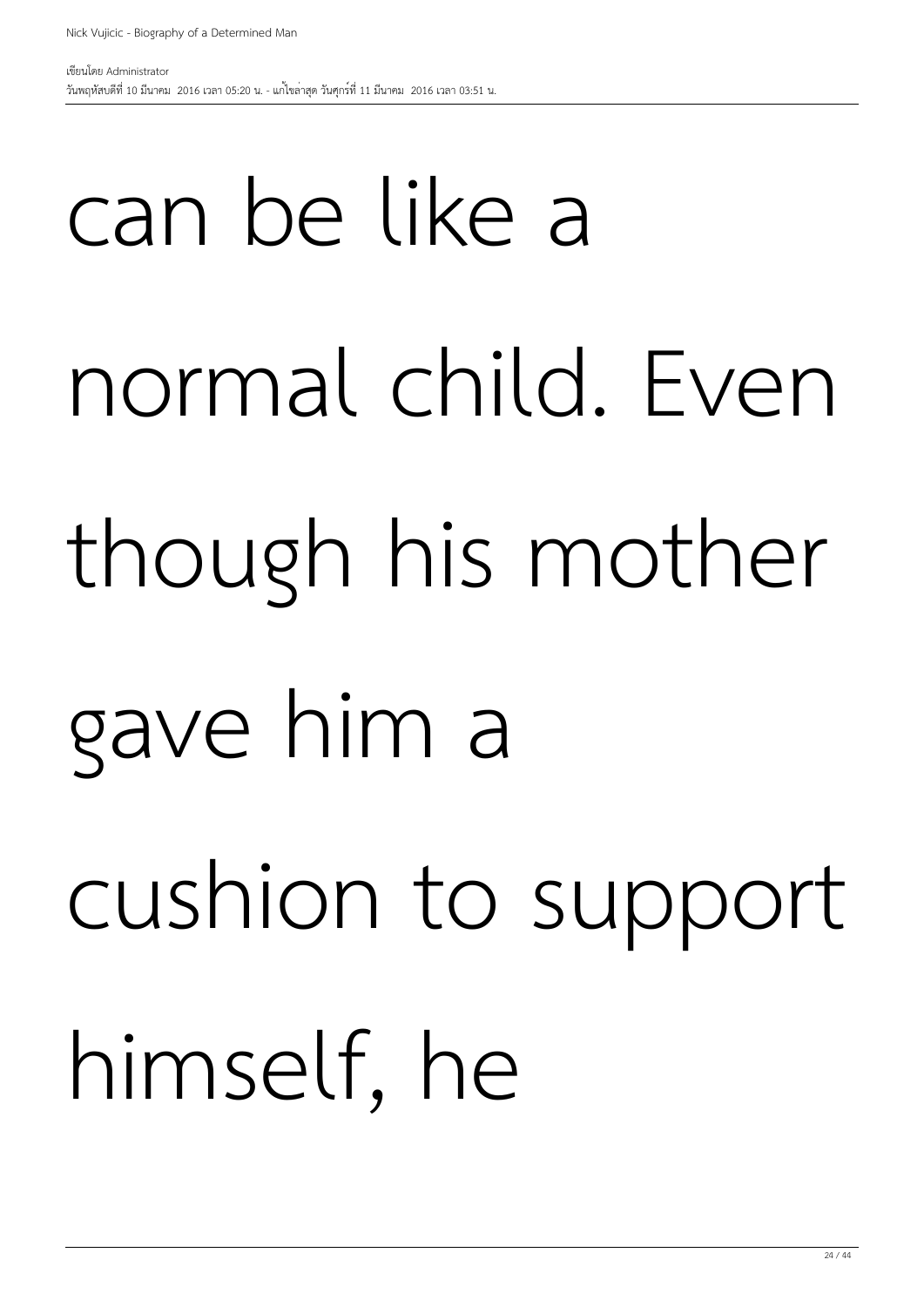## can be like a normal child. Even though his mother gave him a cushion to support himself, he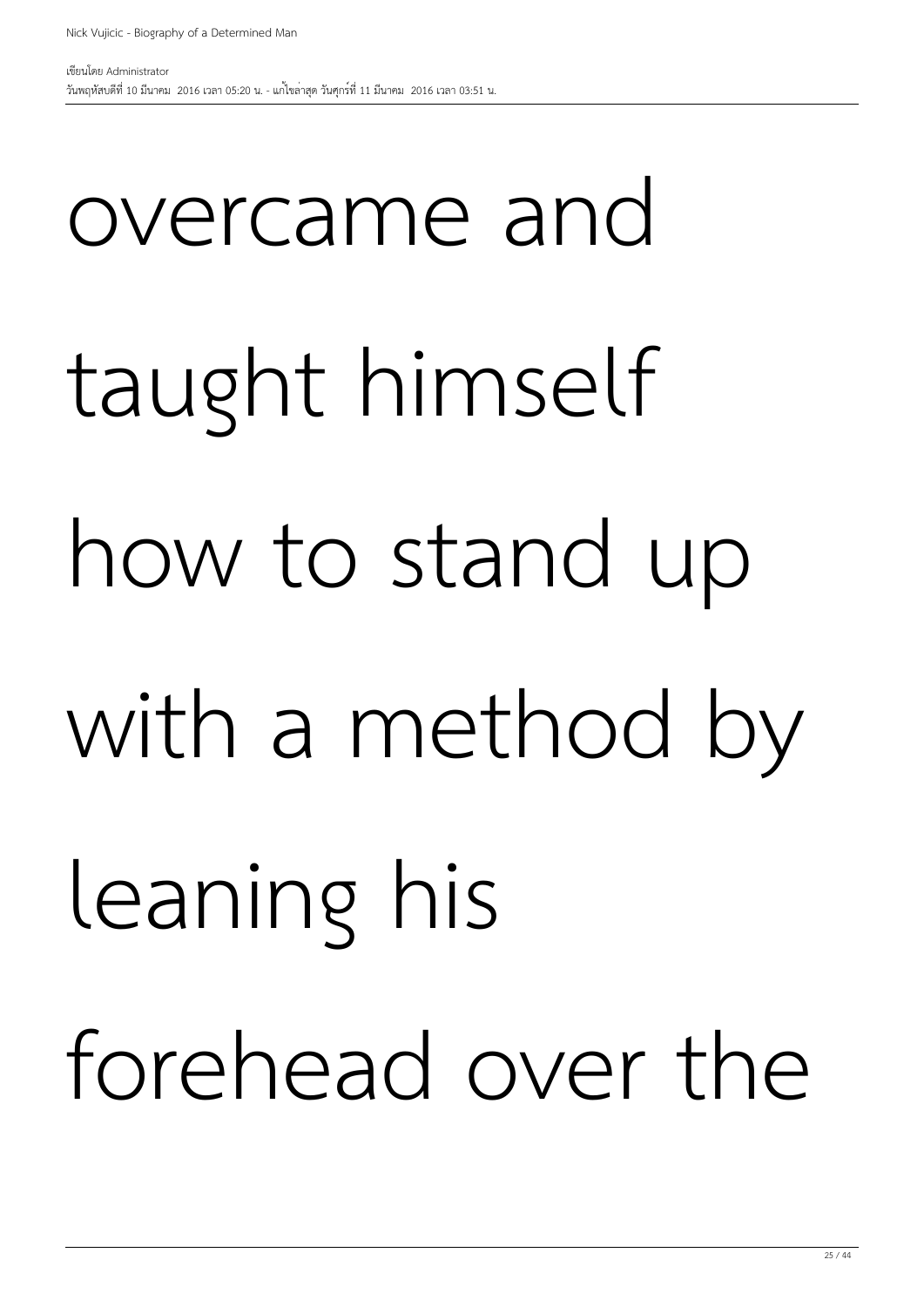## overcame and taught himself how to stand up with a method by leaning his forehead over the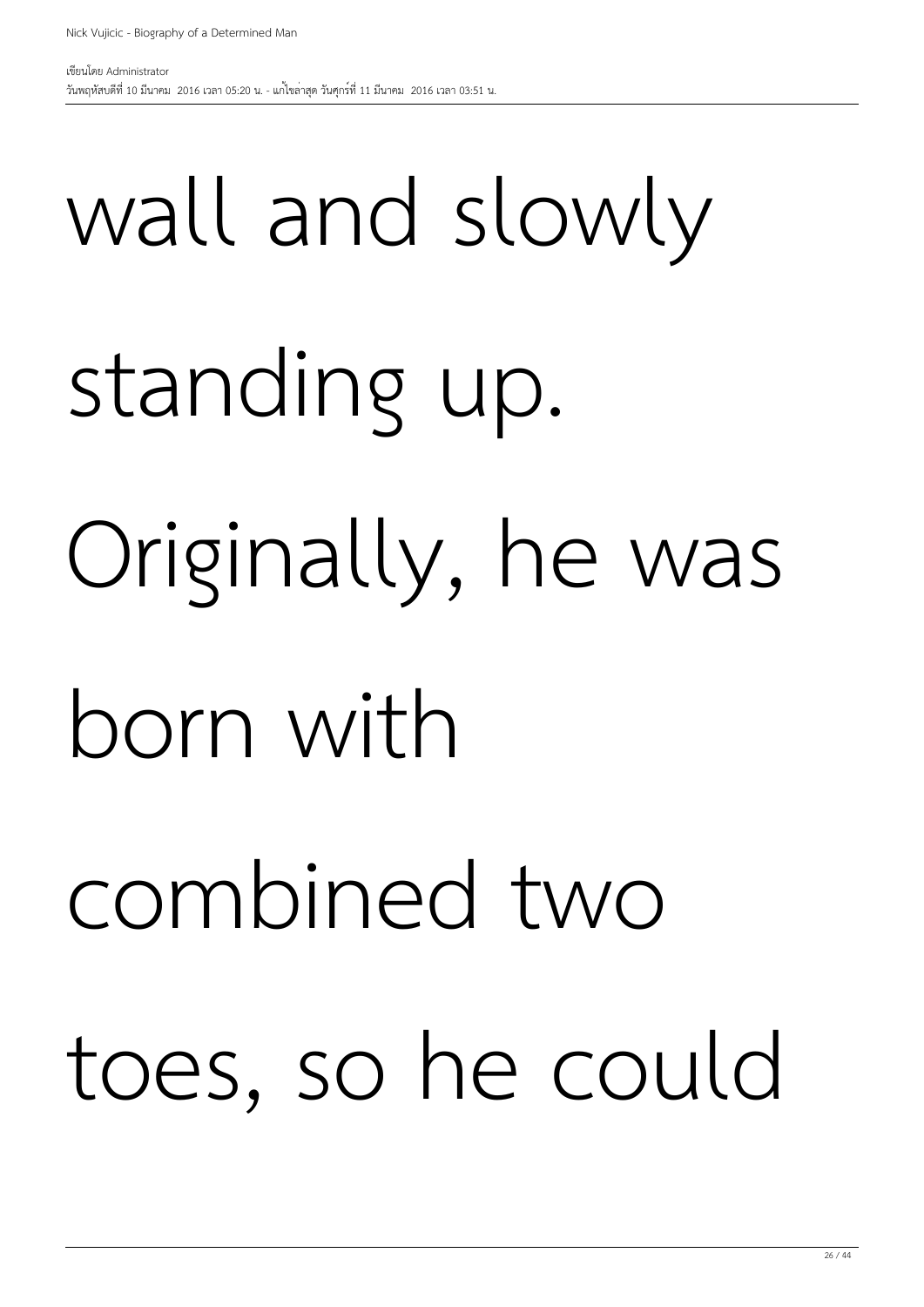## wall and slowly standing up. Originally, he was born with combined two toes, so he could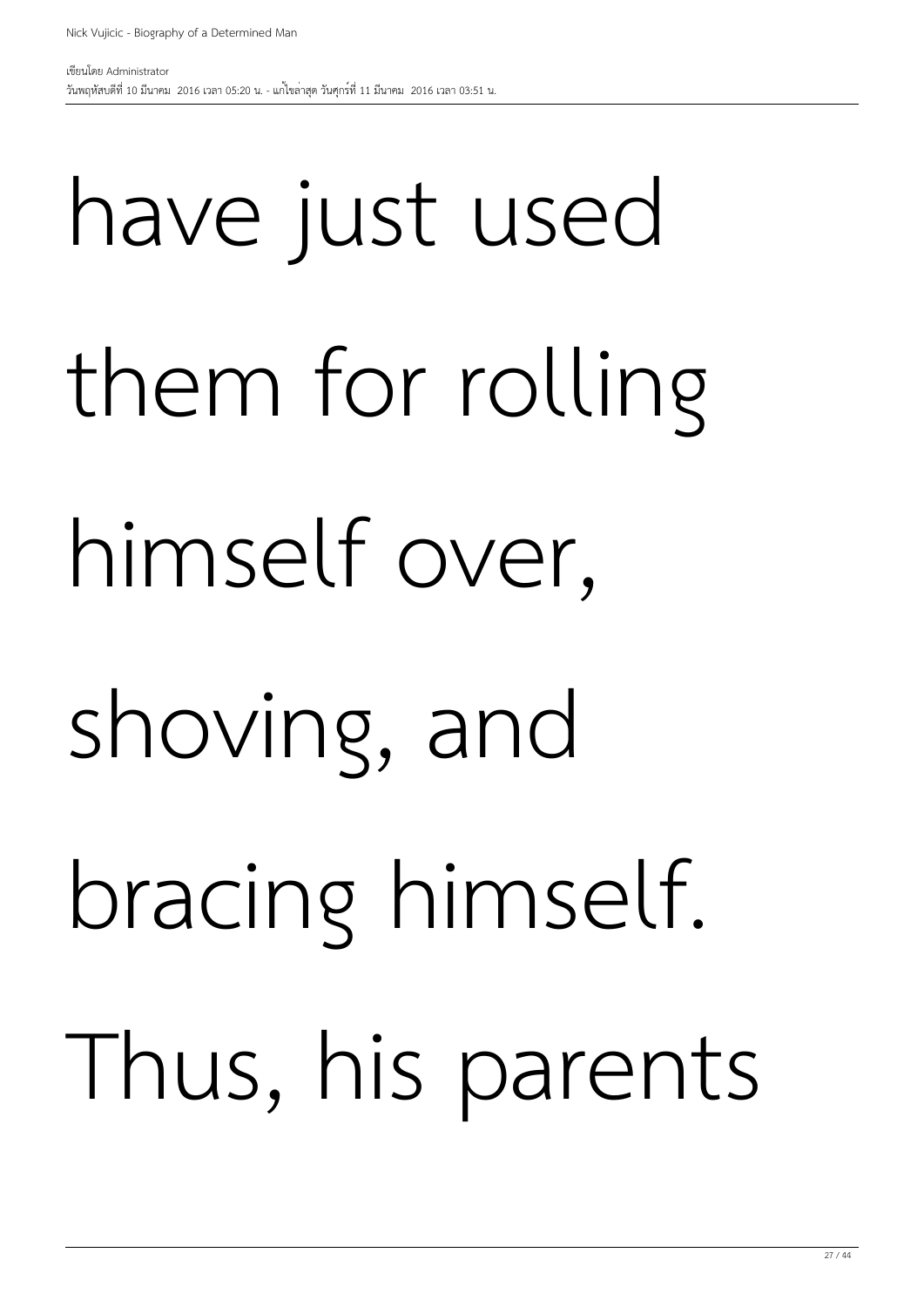## have just used them for rolling himself over, shoving, and bracing himself. Thus, his parents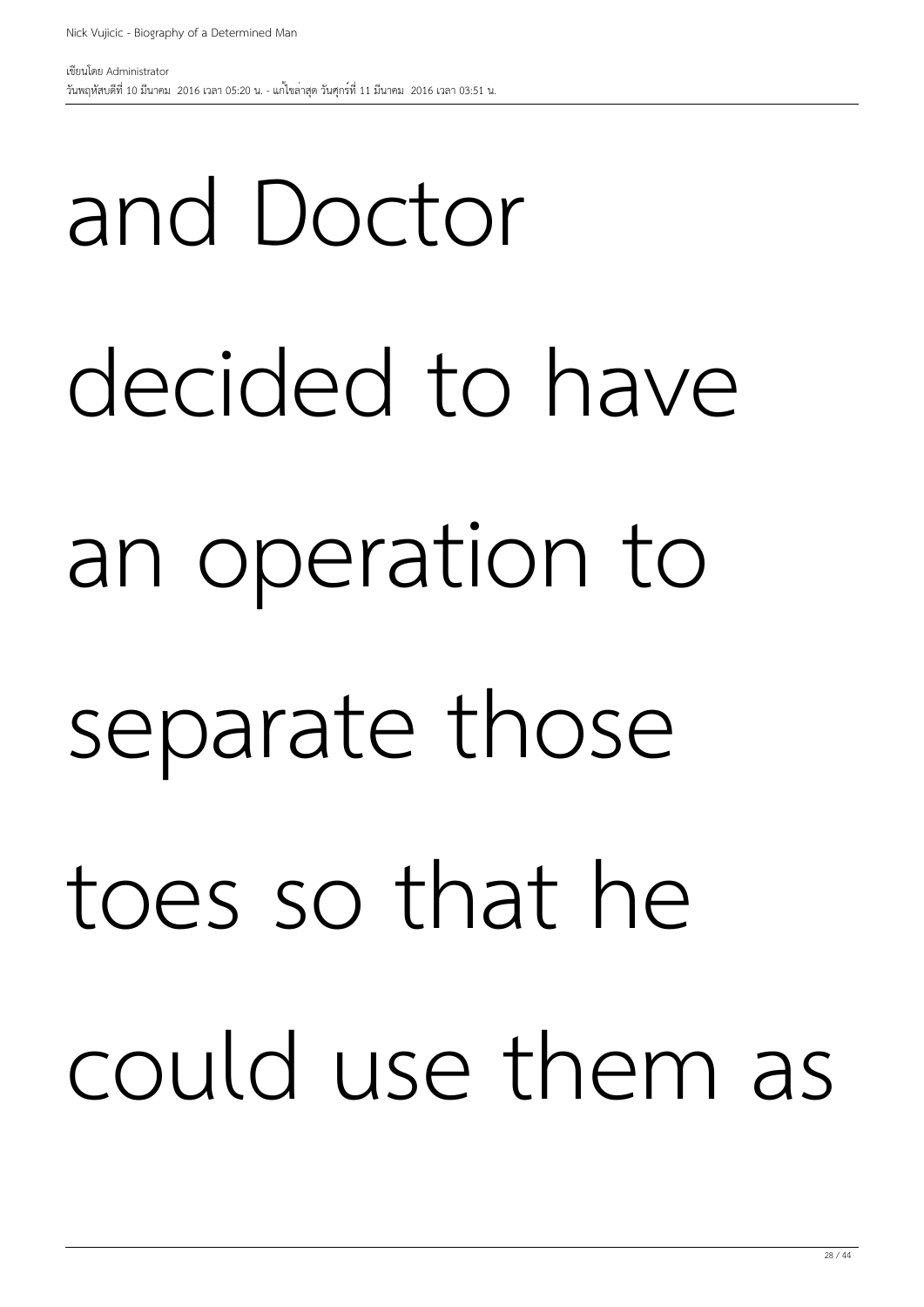and Doctor

# decided to have an operation to separate those toes so that he could use them as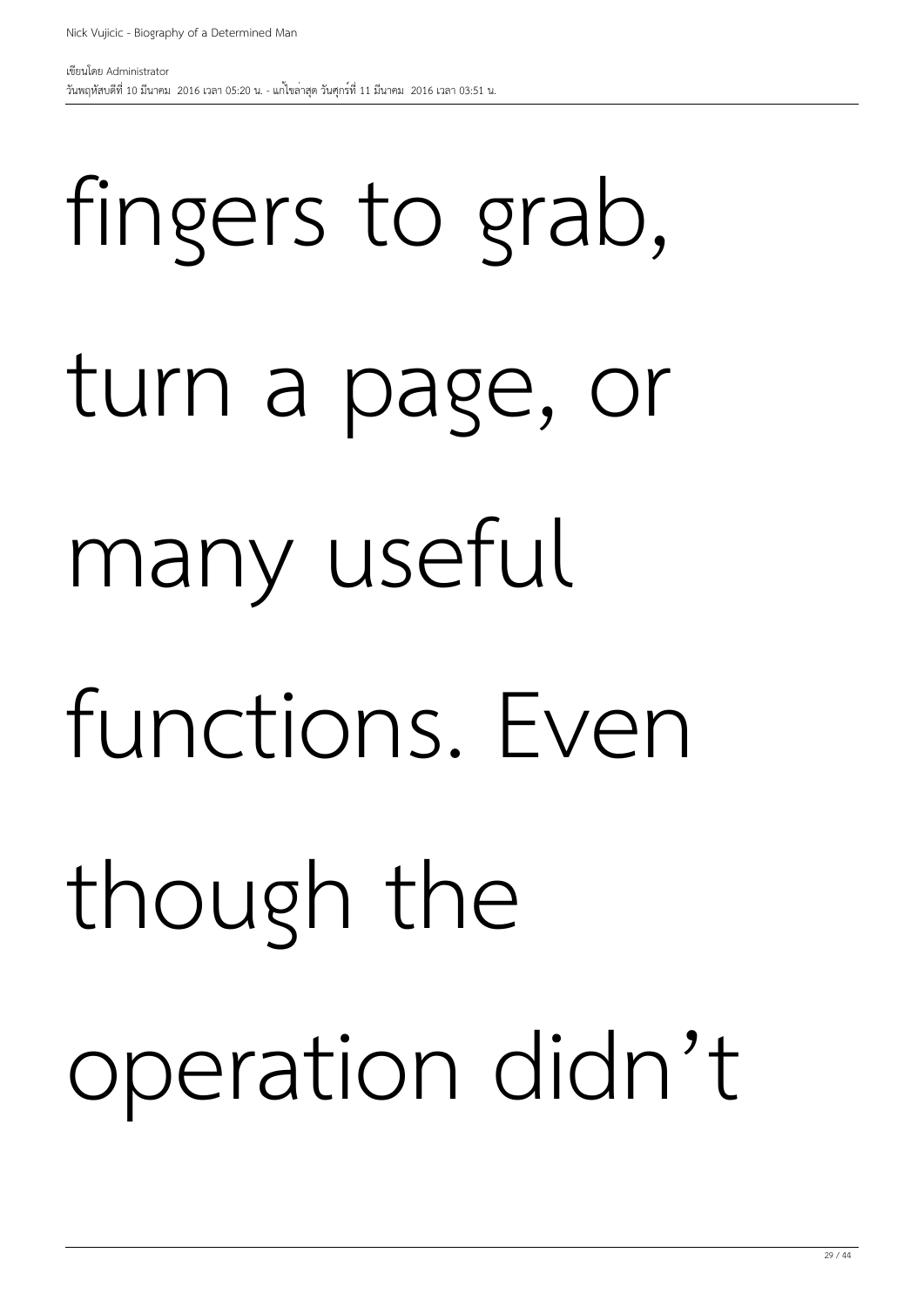fingers to grab, turn a page, or many useful functions. Even though the operation didn't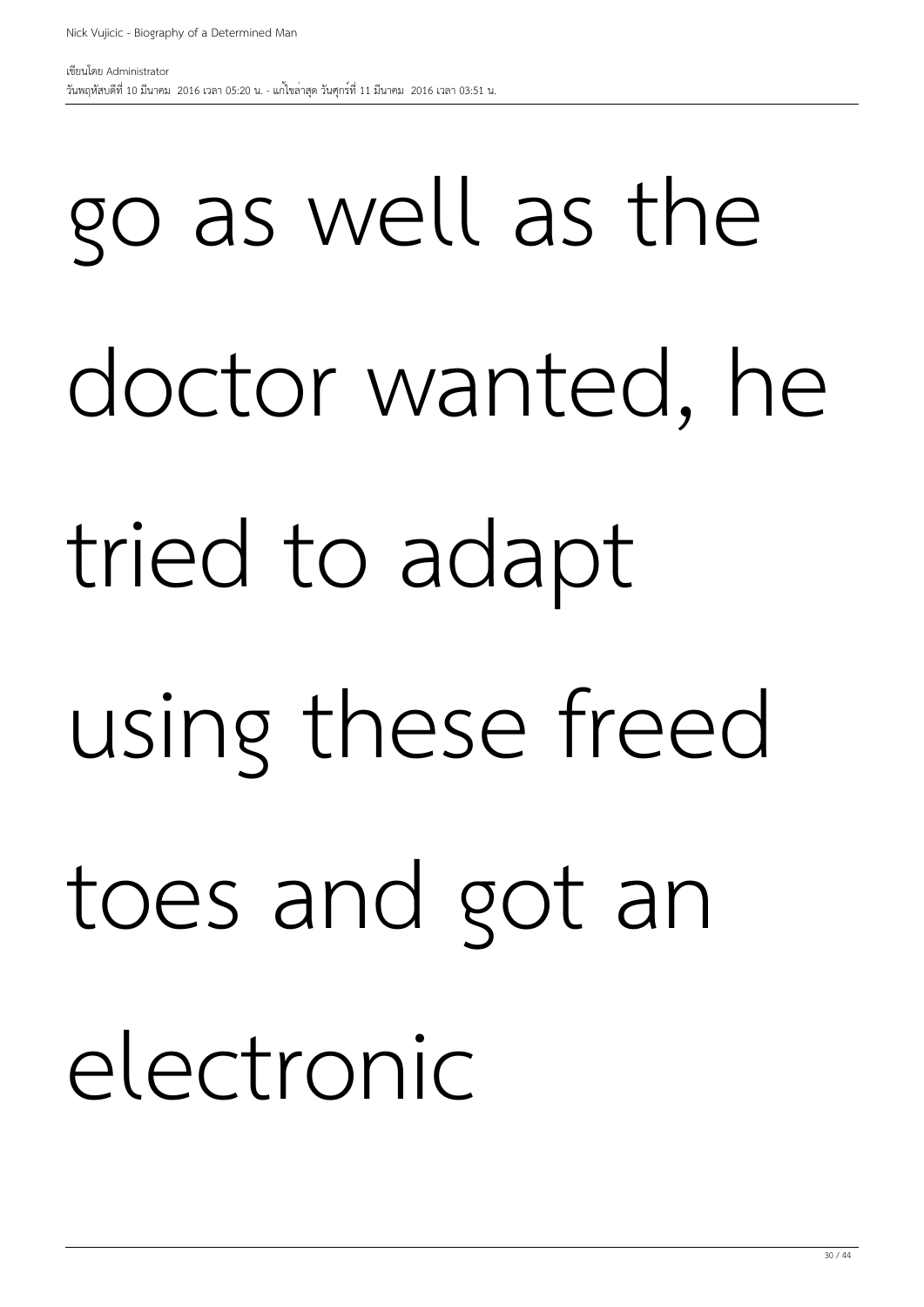## go as well as the doctor wanted, he tried to adapt using these freed toes and got an electronic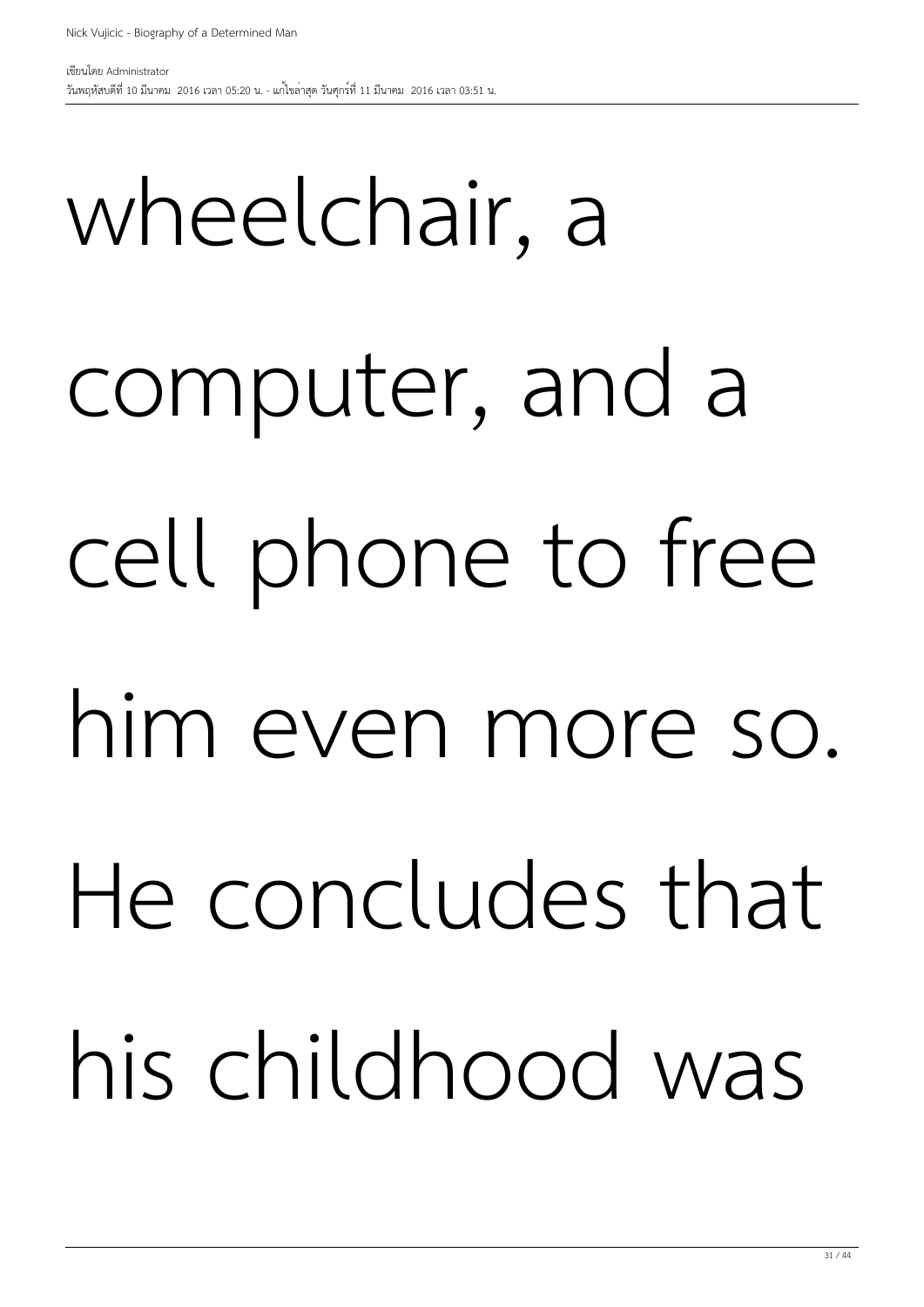# wheelchair, a computer, and a cell phone to free him even more so. He concludes that his childhood was

วันพฤหัสบดีที่ 10 มีนาคม 2016 เวลา 05:20 น. - แก้ไขล่าสุด วันศุกร์ที่ 11 มีนาคม 2016 เวลา 03:51 น.

Nick Vujicic - Biography of a Determined Man

31 / 44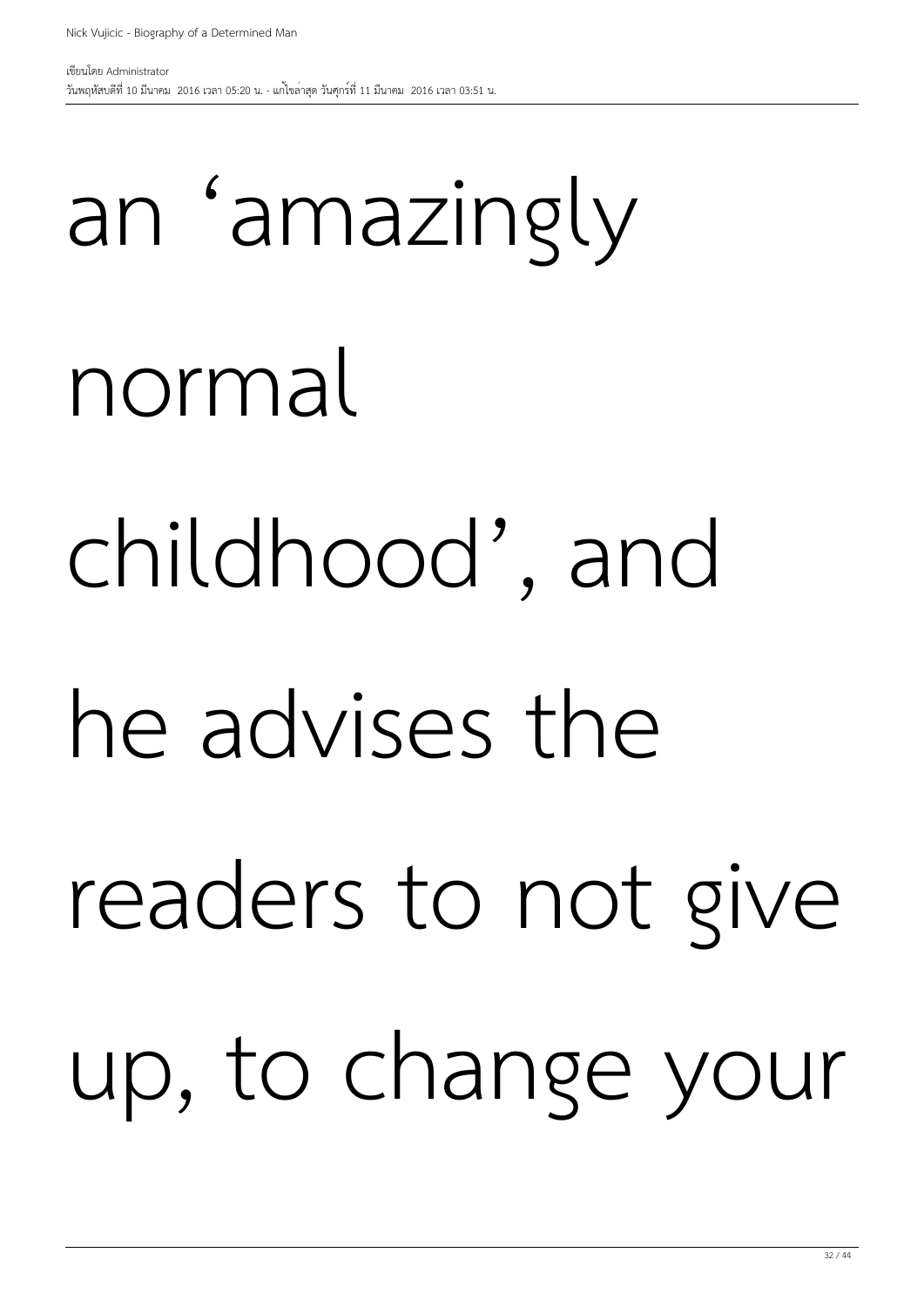## an 'amazingly normal childhood', and he advises the readers to not give up, to change your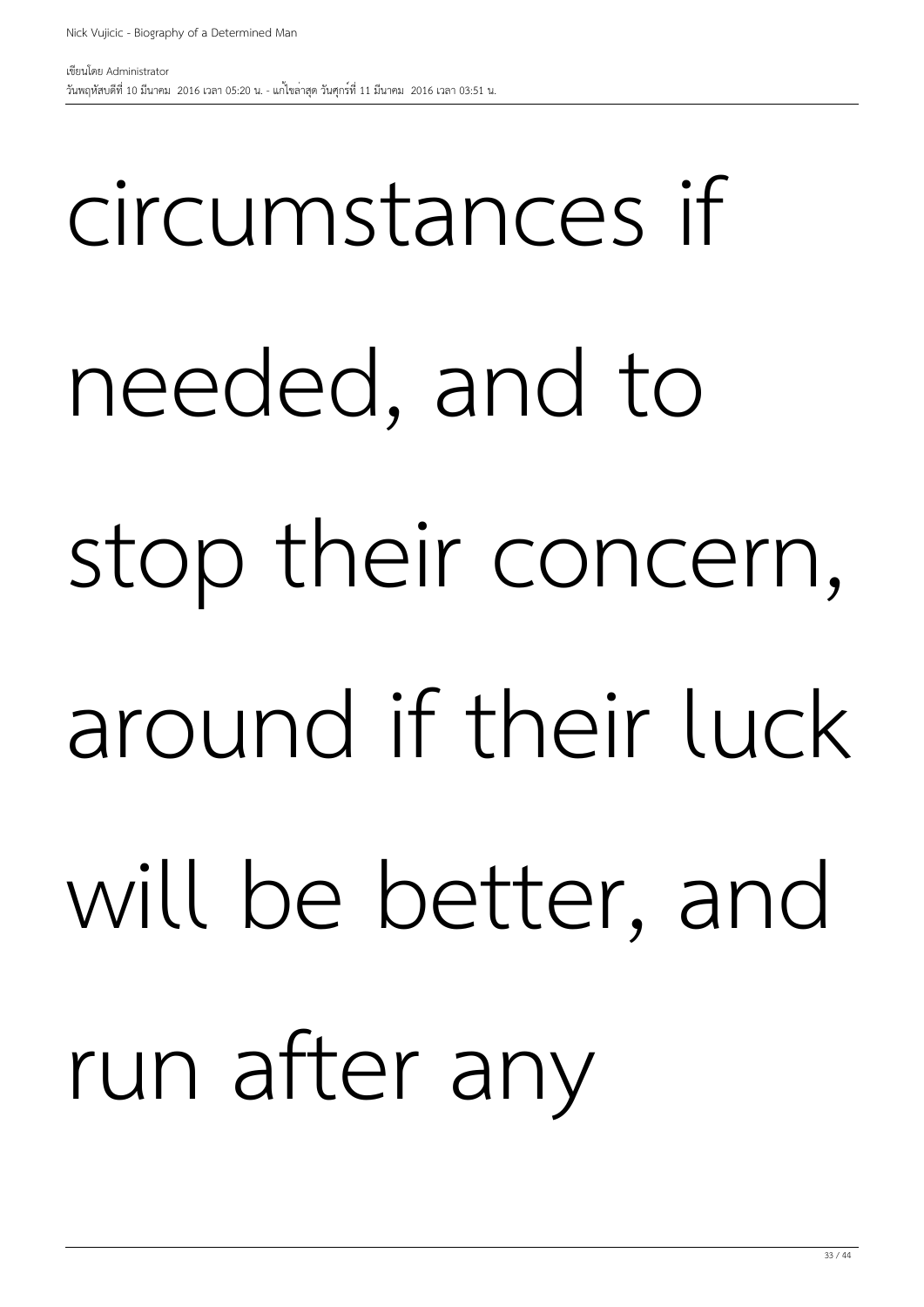## circumstances if needed, and to stop their concern, around if their luck will be better, and run after any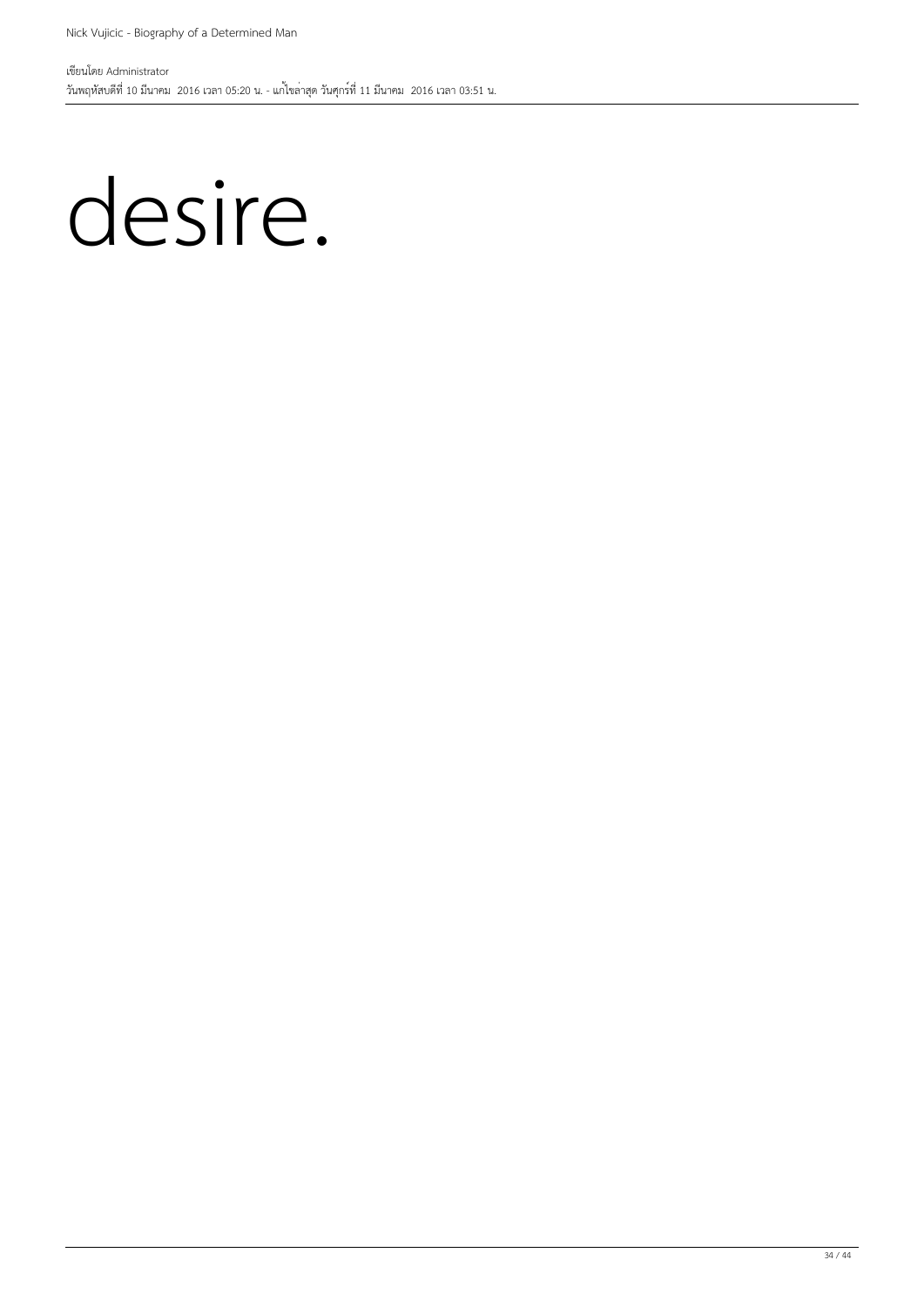#### desire.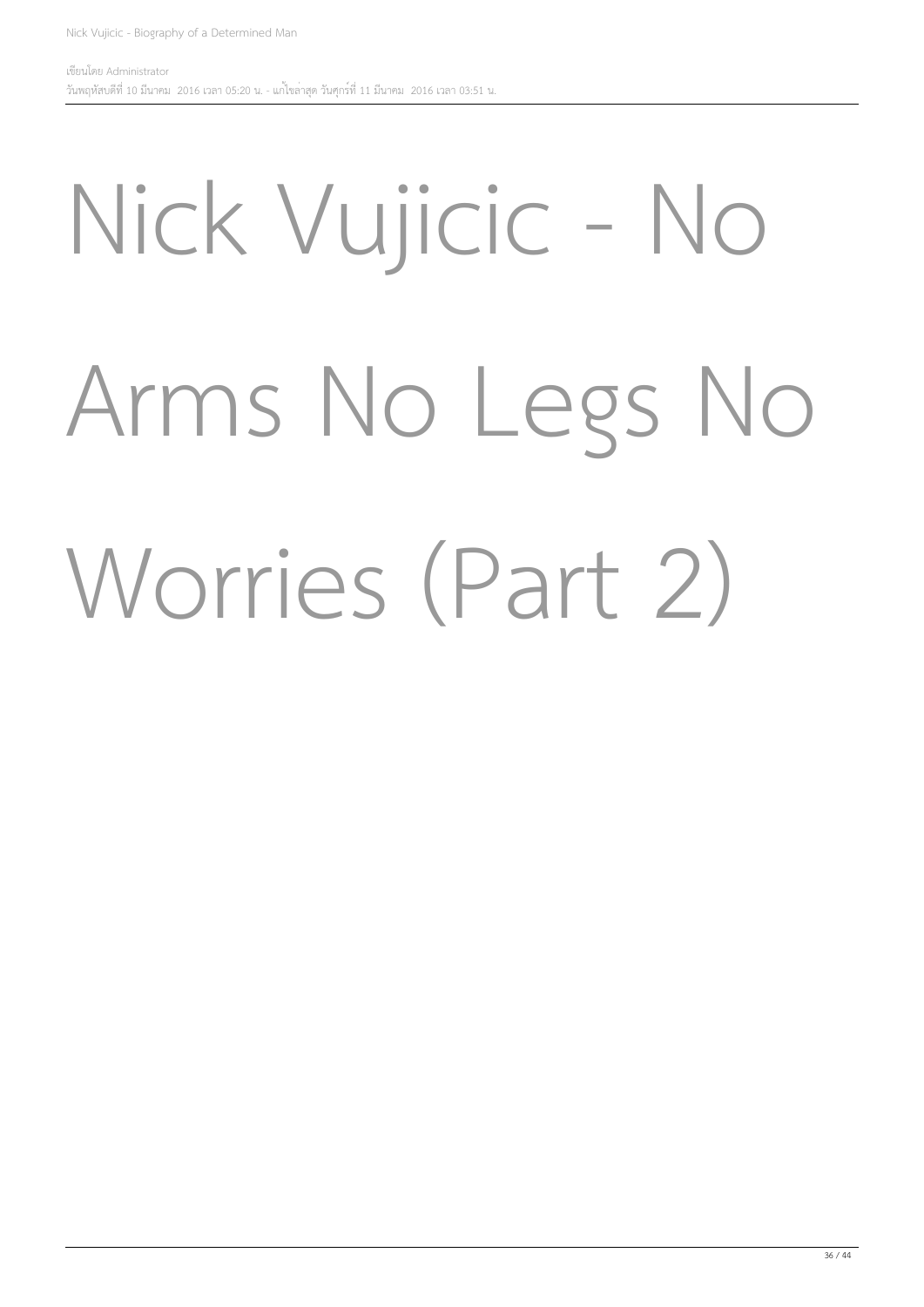## Nick Vujicic - No Arms No Legs No Worries (Part 2)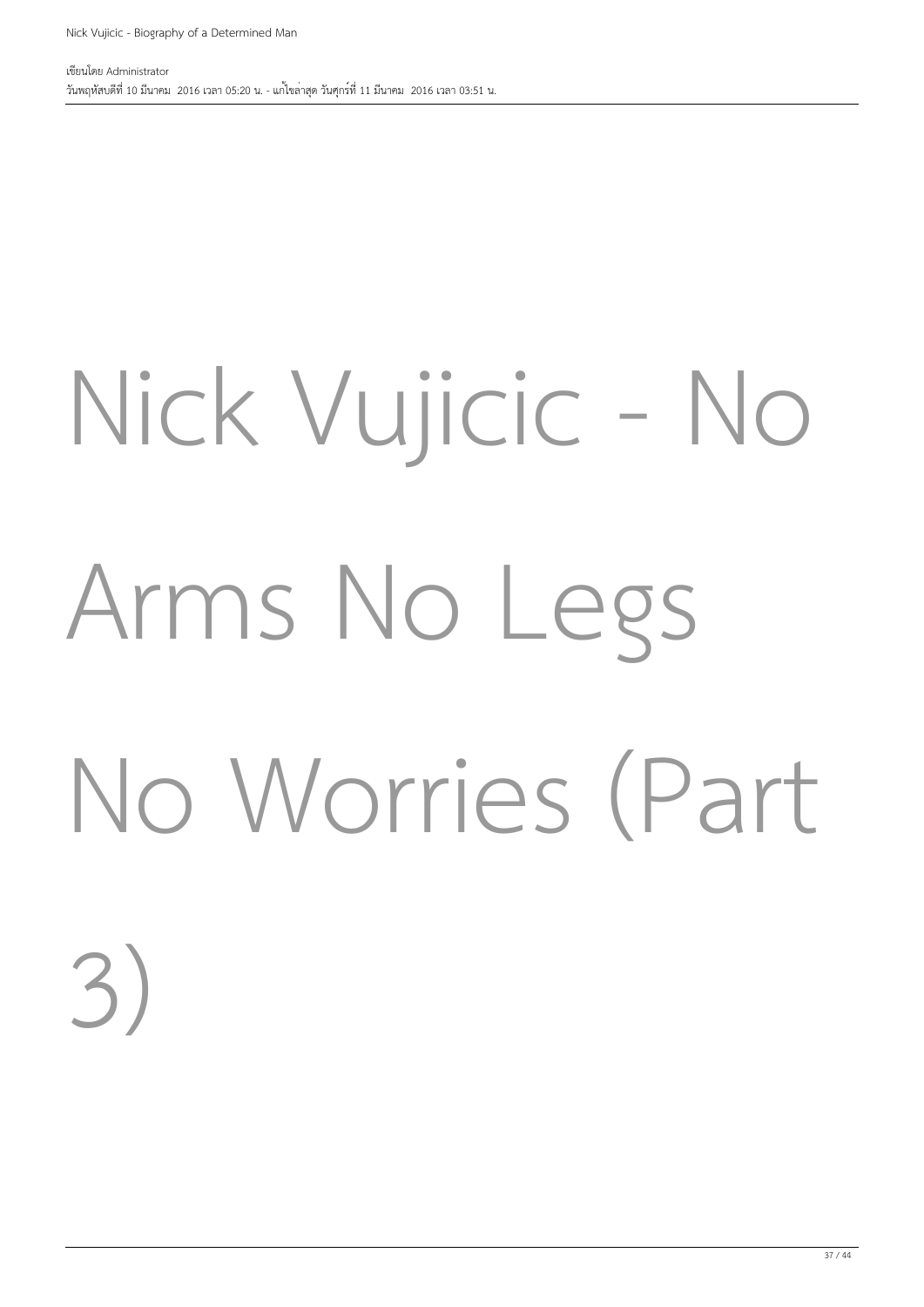# Nick Vujicic - No Arms No Legs No Worries (Part 3)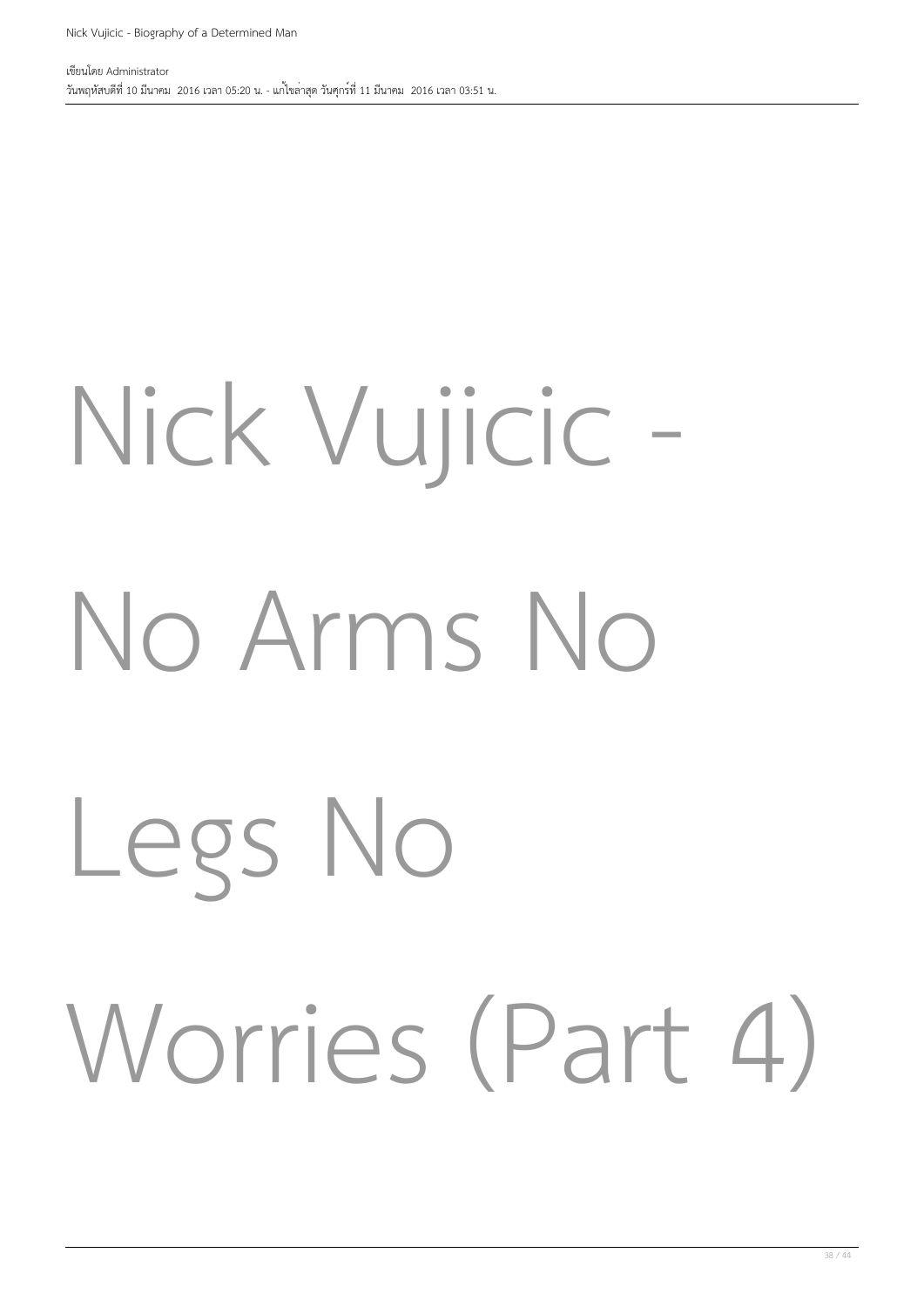# Nick Vujicic - No Arms No Legs No Worries (Part 4)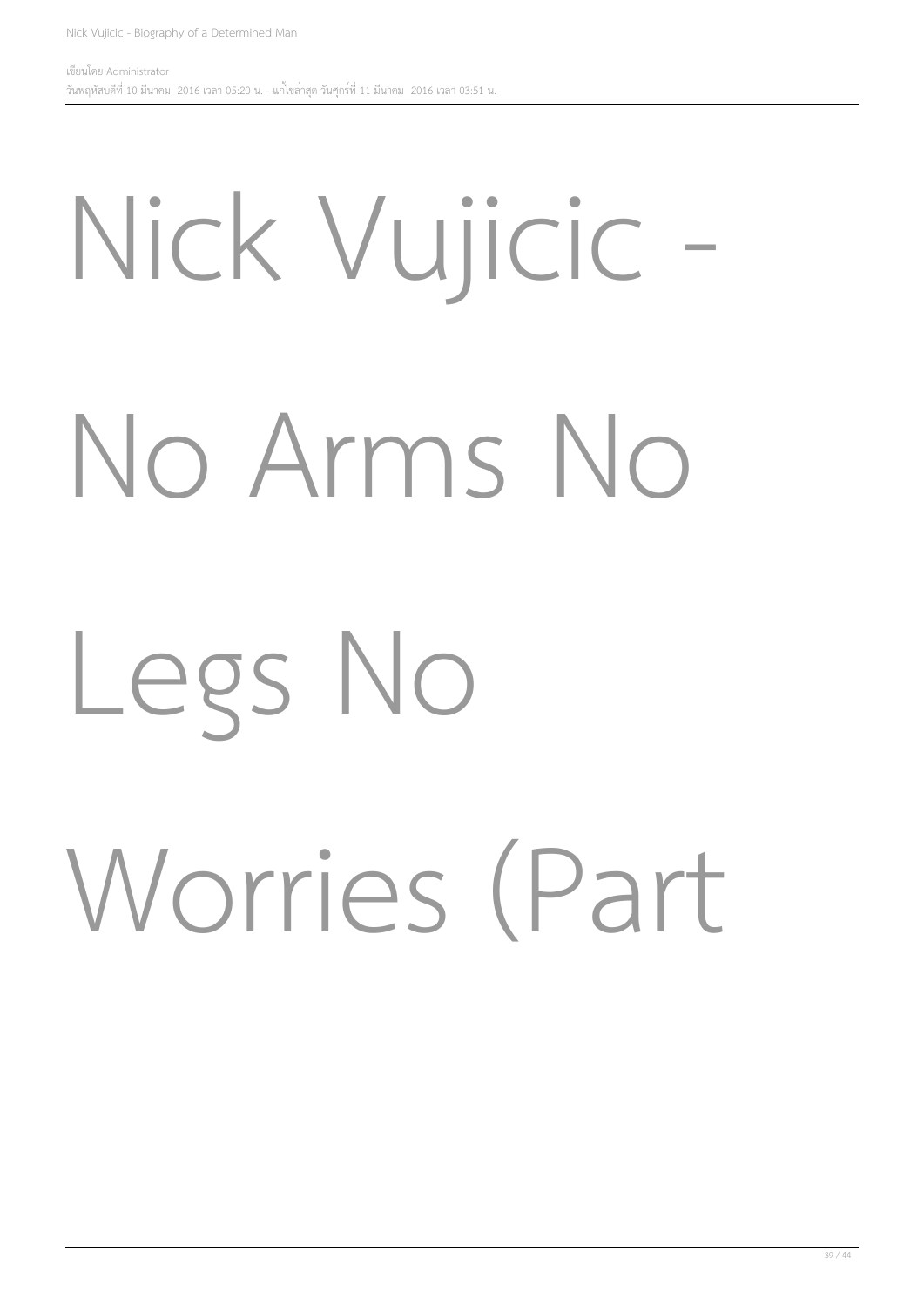### Nick Vujicic

### No Arms No

#### Legs No

### Worries (Part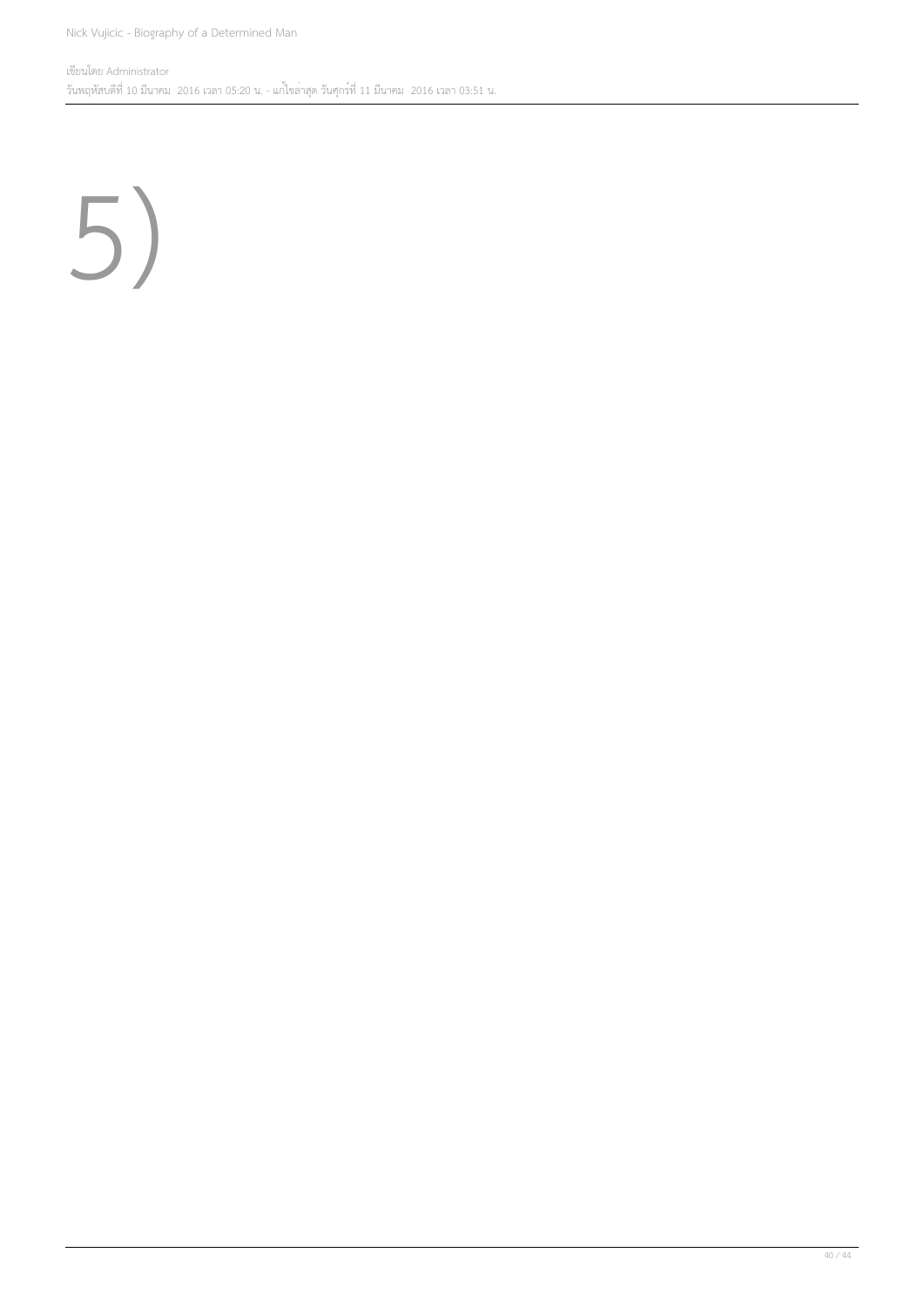5)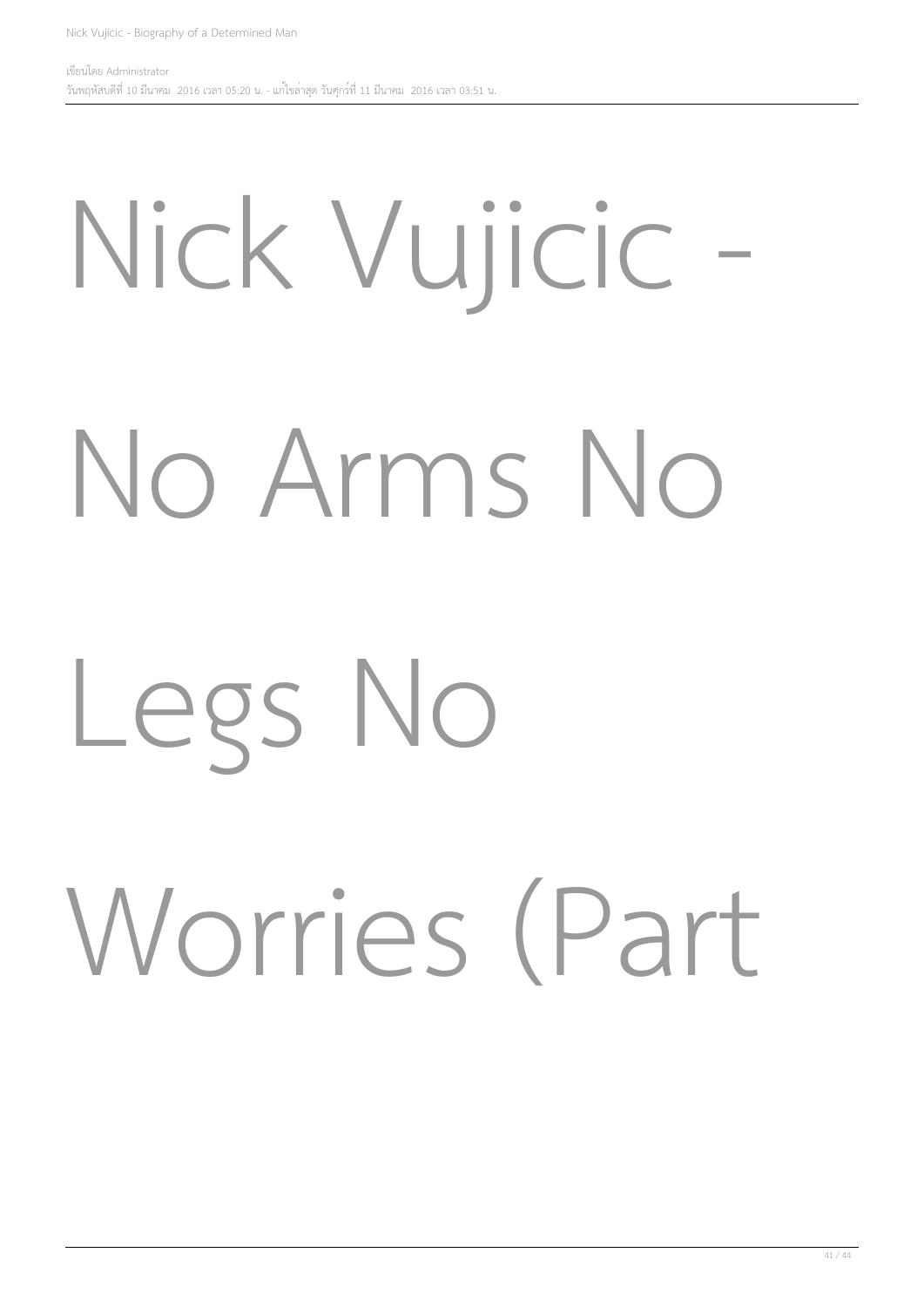# Nick Vujicic - No Arms No

#### Legs No

### Worries (Part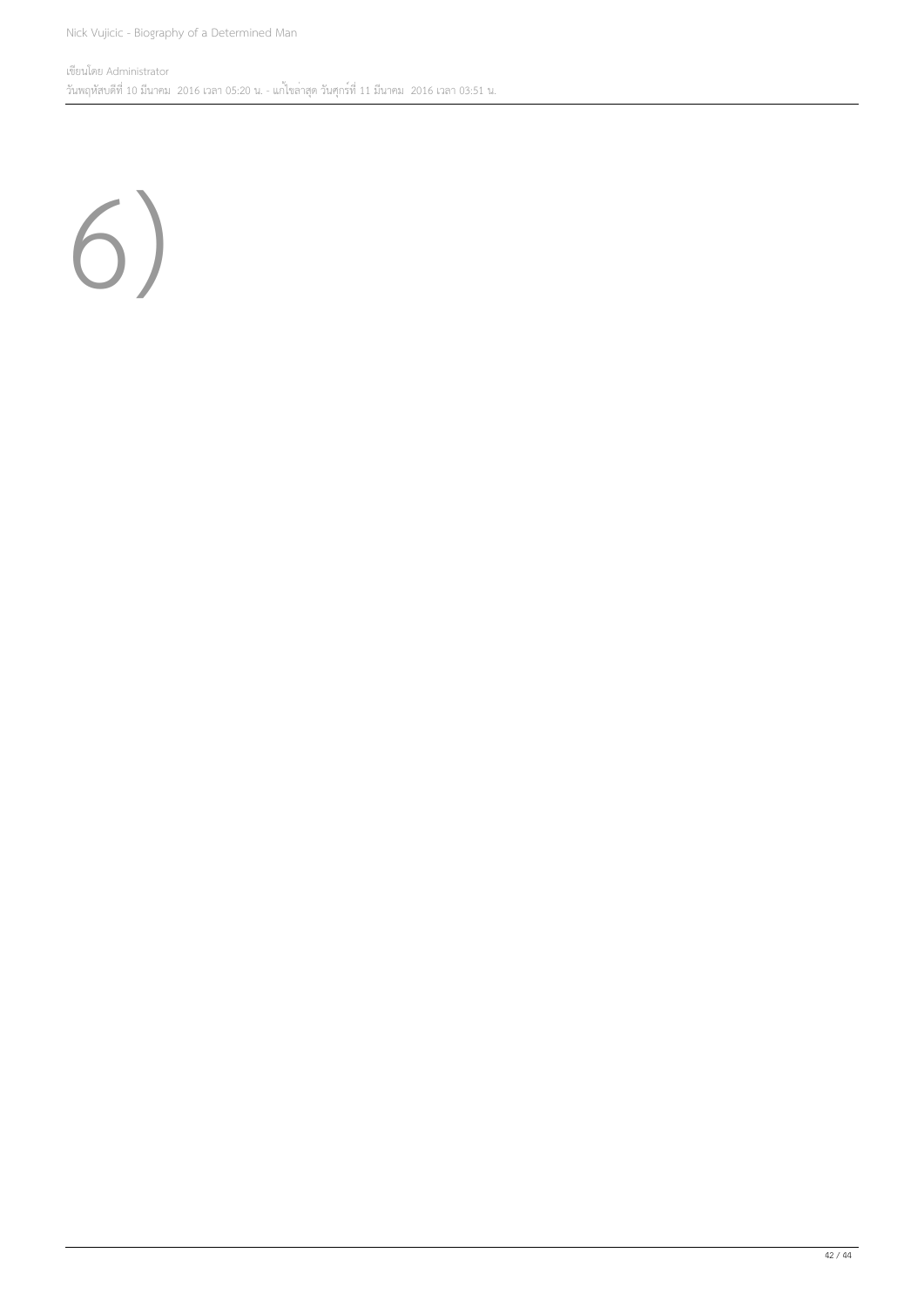6)